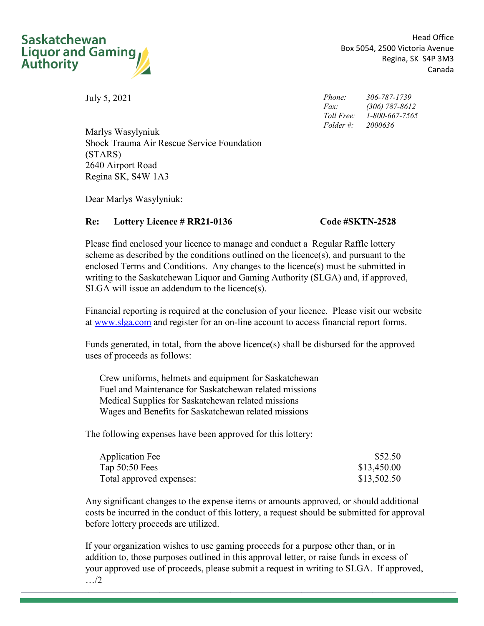

Head Office Box 5054, 2500 Victoria Avenue Regina, SK S4P 3M3 Canada

<span id="page-0-2"></span>July 5, 2021

<span id="page-0-5"></span><span id="page-0-4"></span>*Phone: Fax: Toll Free: 1-800-667-7565 Folder #: 306-787-1739 (306) 787-8612 2000636*

<span id="page-0-1"></span><span id="page-0-0"></span>Marlys Wasylyniuk Shock Trauma Air Rescue Service Foundation (STARS) 2640 Airport Road Regina SK, S4W 1A3

Dear [Marlys Wasylyniuk](#page-0-0):

### <span id="page-0-3"></span>**Re: Lottery Licence # RR21-0136 Code #SKTN-2528**

Please find enclosed your licence to manage and conduct a Regular Raffle lottery scheme as described by the conditions outlined on the licence(s), and pursuant to the enclosed Terms and Conditions. Any changes to the licence(s) must be submitted in writing to the Saskatchewan Liquor and Gaming Authority (SLGA) and, if approved, SLGA will issue an addendum to the licence(s).

Financial reporting is required at the conclusion of your licence. Please visit our website at www.slga.com and register for an on-line account to access financial report forms.

Funds generated, in total, from the above licence(s) shall be disbursed for the approved uses of proceeds as follows:

Crew uniforms, helmets and equipment for Saskatchewan Fuel and Maintenance for Saskatchewan related missions Medical Supplies for Saskatchewan related missions Wages and Benefits for Saskatchewan related missions

The following expenses have been approved for this lottery:

| <b>Application Fee</b>   | \$52.50     |
|--------------------------|-------------|
| Tap $50:50$ Fees         | \$13,450.00 |
| Total approved expenses: | \$13,502.50 |

Any significant changes to the expense items or amounts approved, or should additional costs be incurred in the conduct of this lottery, a request should be submitted for approval before lottery proceeds are utilized.

If your organization wishes to use gaming proceeds for a purpose other than, or in addition to, those purposes outlined in this approval letter, or raise funds in excess of your approved use of proceeds, please submit a request in writing to SLGA. If approved,

 $\_$  , and the state of the state of the state of the state of the state of the state of the state of the state of the state of the state of the state of the state of the state of the state of the state of the state of the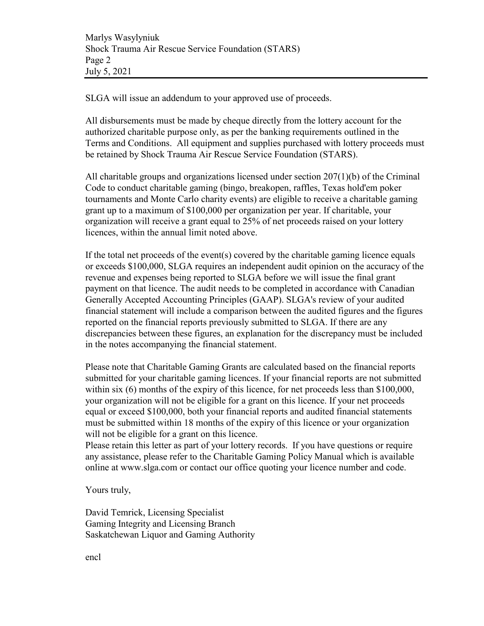SLGA will issue an addendum to your approved use of proceeds.

All disbursements must be made by cheque directly from the lottery account for the authorized charitable purpose only, as per the banking requirements outlined in the Terms and Conditions. All equipment and supplies purchased with lottery proceeds must be retained by [Shock Trauma Air Rescue Service Foundation \(STARS\)](#page-0-1).

All charitable groups and organizations licensed under section 207(1)(b) of the Criminal Code to conduct charitable gaming (bingo, breakopen, raffles, Texas hold'em poker tournaments and Monte Carlo charity events) are eligible to receive a charitable gaming grant up to a maximum of \$100,000 per organization per year. If charitable, your organization will receive a grant equal to 25% of net proceeds raised on your lottery licences, within the annual limit noted above.

If the total net proceeds of the event(s) covered by the charitable gaming licence equals or exceeds \$100,000, SLGA requires an independent audit opinion on the accuracy of the revenue and expenses being reported to SLGA before we will issue the final grant payment on that licence. The audit needs to be completed in accordance with Canadian Generally Accepted Accounting Principles (GAAP). SLGA's review of your audited financial statement will include a comparison between the audited figures and the figures reported on the financial reports previously submitted to SLGA. If there are any discrepancies between these figures, an explanation for the discrepancy must be included in the notes accompanying the financial statement.

Please note that Charitable Gaming Grants are calculated based on the financial reports submitted for your charitable gaming licences. If your financial reports are not submitted within six (6) months of the expiry of this licence, for net proceeds less than \$100,000, your organization will not be eligible for a grant on this licence. If your net proceeds equal or exceed \$100,000, both your financial reports and audited financial statements must be submitted within 18 months of the expiry of this licence or your organization will not be eligible for a grant on this licence.

Please retain this letter as part of your lottery records. If you have questions or require any assistance, please refer to the Charitable Gaming Policy Manual which is available online at www.slga.com or contact our office quoting your licence number and code.

Yours truly,

David Temrick, Licensing Specialist Gaming Integrity and Licensing Branch Saskatchewan Liquor and Gaming Authority

encl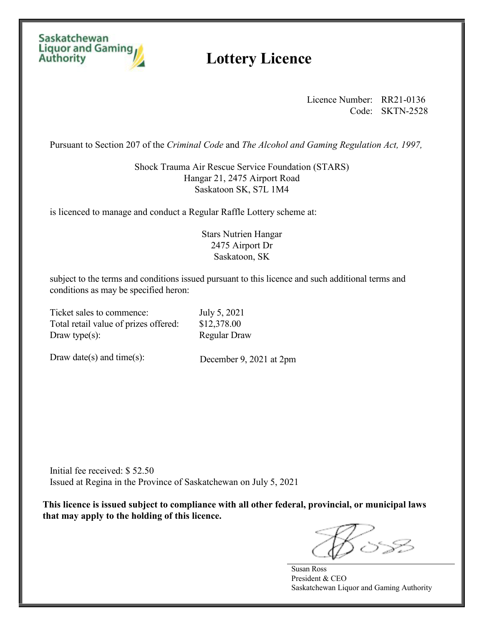### Saskatchewan **Liquor and Gaming Authority**

## **Lottery Licence**

Licence Number: [RR21-0136](#page-0-3) Code: [SKTN-2528](#page-0-4)

Pursuant to Section 207 of the *Criminal Code* and *The Alcohol and Gaming Regulation Act, 1997,*

[Shock Trauma Air Rescue Service Foundation \(STARS\)](#page-0-1) Hangar 21, 2475 Airport Road Saskatoon SK, S7L 1M4

is licenced to manage and conduct a [Regular](#page-0-5) Raffle Lottery scheme at:

### Stars Nutrien Hangar 2475 Airport Dr Saskatoon, SK

subject to the terms and conditions issued pursuant to this licence and such additional terms and conditions as may be specified heron:

Ticket sales to commence: July 5, 2021 Total retail value of prizes offered: \$12,378.00 Draw type(s): Regular Draw

Draw date(s) and time(s):

December 9, 2021 at 2pm

Initial fee received: \$ 52.50 Issued at Regina in the Province of Saskatchewan on July 5, 2021

**This licence is issued subject to compliance with all other federal, provincial, or municipal laws that may apply to the holding of this licence.** 

Susan Ross President & CEO Saskatchewan Liquor and Gaming Authority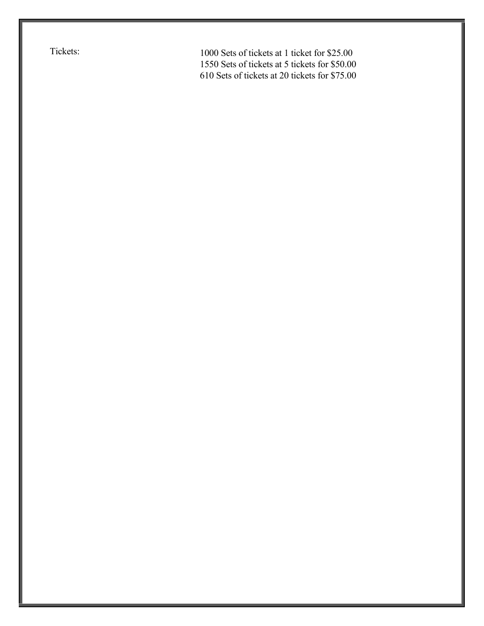Tickets: 1000 Sets of tickets at 1 ticket for \$25.00 1550 Sets of tickets at 5 tickets for \$50.00 610 Sets of tickets at 20 tickets for \$75.00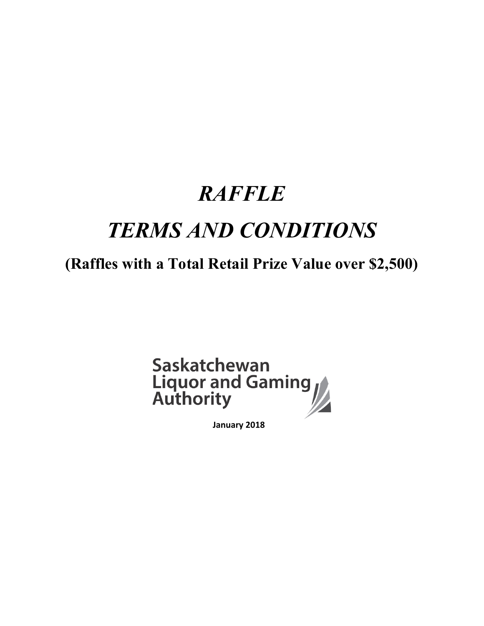# *RAFFLE TERMS AND CONDITIONS*

# **(Raffles with a Total Retail Prize Value over \$2,500)**



 **January 2018**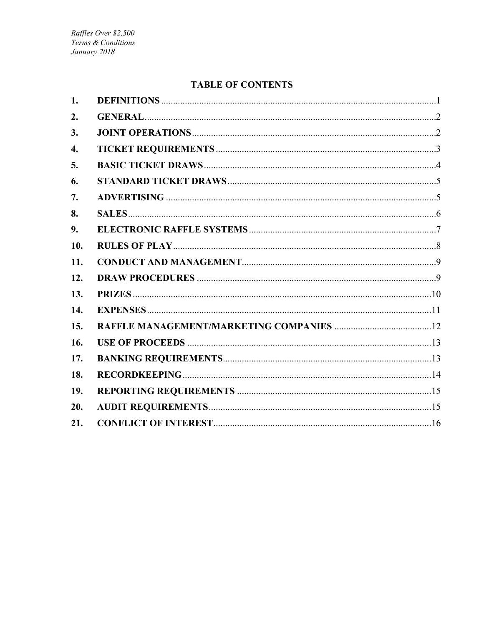### **TABLE OF CONTENTS**

| 1.  |  |
|-----|--|
| 2.  |  |
| 3.  |  |
| 4.  |  |
| 5.  |  |
| 6.  |  |
| 7.  |  |
| 8.  |  |
| 9.  |  |
| 10. |  |
| 11. |  |
| 12. |  |
| 13. |  |
| 14. |  |
| 15. |  |
| 16. |  |
| 17. |  |
| 18. |  |
| 19. |  |
| 20. |  |
| 21. |  |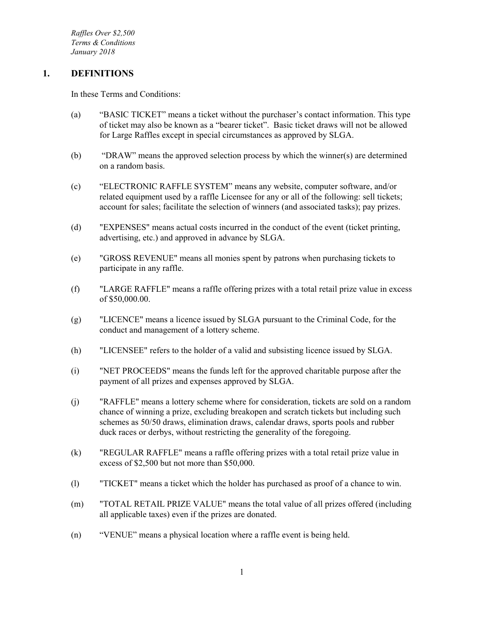*Raffles Over \$2,500 Terms & Conditions January 2018*

#### <span id="page-6-0"></span>**1. DEFINITIONS**

In these Terms and Conditions:

- (a) "BASIC TICKET" means a ticket without the purchaser's contact information. This type of ticket may also be known as a "bearer ticket". Basic ticket draws will not be allowed for Large Raffles except in special circumstances as approved by SLGA.
- (b) "DRAW" means the approved selection process by which the winner(s) are determined on a random basis.
- (c) "ELECTRONIC RAFFLE SYSTEM" means any website, computer software, and/or related equipment used by a raffle Licensee for any or all of the following: sell tickets; account for sales; facilitate the selection of winners (and associated tasks); pay prizes.
- (d) "EXPENSES" means actual costs incurred in the conduct of the event (ticket printing, advertising, etc.) and approved in advance by SLGA.
- (e) "GROSS REVENUE" means all monies spent by patrons when purchasing tickets to participate in any raffle.
- (f) "LARGE RAFFLE" means a raffle offering prizes with a total retail prize value in excess of \$50,000.00.
- (g) "LICENCE" means a licence issued by SLGA pursuant to the Criminal Code, for the conduct and management of a lottery scheme.
- (h) "LICENSEE" refers to the holder of a valid and subsisting licence issued by SLGA.
- (i) "NET PROCEEDS" means the funds left for the approved charitable purpose after the payment of all prizes and expenses approved by SLGA.
- (j) "RAFFLE" means a lottery scheme where for consideration, tickets are sold on a random chance of winning a prize, excluding breakopen and scratch tickets but including such schemes as 50/50 draws, elimination draws, calendar draws, sports pools and rubber duck races or derbys, without restricting the generality of the foregoing.
- (k) "REGULAR RAFFLE" means a raffle offering prizes with a total retail prize value in excess of \$2,500 but not more than \$50,000.
- (l) "TICKET" means a ticket which the holder has purchased as proof of a chance to win.
- (m) "TOTAL RETAIL PRIZE VALUE" means the total value of all prizes offered (including all applicable taxes) even if the prizes are donated.
- (n) "VENUE" means a physical location where a raffle event is being held.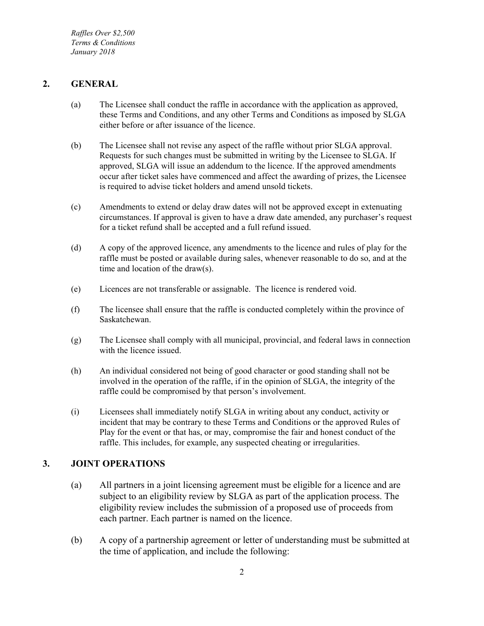*Raffles Over \$2,500 Terms & Conditions January 2018*

### <span id="page-7-0"></span>**2. GENERAL**

- (a) The Licensee shall conduct the raffle in accordance with the application as approved, these Terms and Conditions, and any other Terms and Conditions as imposed by SLGA either before or after issuance of the licence.
- (b) The Licensee shall not revise any aspect of the raffle without prior SLGA approval. Requests for such changes must be submitted in writing by the Licensee to SLGA. If approved, SLGA will issue an addendum to the licence. If the approved amendments occur after ticket sales have commenced and affect the awarding of prizes, the Licensee is required to advise ticket holders and amend unsold tickets.
- (c) Amendments to extend or delay draw dates will not be approved except in extenuating circumstances. If approval is given to have a draw date amended, any purchaser's request for a ticket refund shall be accepted and a full refund issued.
- (d) A copy of the approved licence, any amendments to the licence and rules of play for the raffle must be posted or available during sales, whenever reasonable to do so, and at the time and location of the draw(s).
- (e) Licences are not transferable or assignable. The licence is rendered void.
- (f) The licensee shall ensure that the raffle is conducted completely within the province of Saskatchewan.
- (g) The Licensee shall comply with all municipal, provincial, and federal laws in connection with the licence issued.
- (h) An individual considered not being of good character or good standing shall not be involved in the operation of the raffle, if in the opinion of SLGA, the integrity of the raffle could be compromised by that person's involvement.
- (i) Licensees shall immediately notify SLGA in writing about any conduct, activity or incident that may be contrary to these Terms and Conditions or the approved Rules of Play for the event or that has, or may, compromise the fair and honest conduct of the raffle. This includes, for example, any suspected cheating or irregularities.

### <span id="page-7-1"></span>**3. JOINT OPERATIONS**

- (a) All partners in a joint licensing agreement must be eligible for a licence and are subject to an eligibility review by SLGA as part of the application process. The eligibility review includes the submission of a proposed use of proceeds from each partner. Each partner is named on the licence.
- (b) A copy of a partnership agreement or letter of understanding must be submitted at the time of application, and include the following: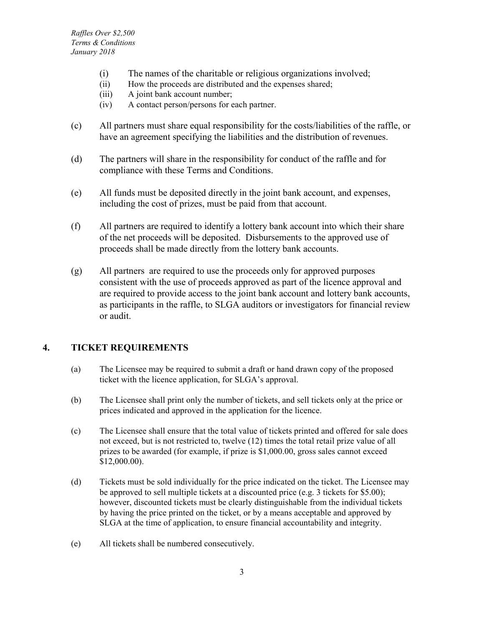- (i) The names of the charitable or religious organizations involved;
- (ii) How the proceeds are distributed and the expenses shared;
- (iii) A joint bank account number;
- (iv) A contact person/persons for each partner.
- (c) All partners must share equal responsibility for the costs/liabilities of the raffle, or have an agreement specifying the liabilities and the distribution of revenues.
- (d) The partners will share in the responsibility for conduct of the raffle and for compliance with these Terms and Conditions.
- (e) All funds must be deposited directly in the joint bank account, and expenses, including the cost of prizes, must be paid from that account.
- (f) All partners are required to identify a lottery bank account into which their share of the net proceeds will be deposited. Disbursements to the approved use of proceeds shall be made directly from the lottery bank accounts.
- (g) All partners are required to use the proceeds only for approved purposes consistent with the use of proceeds approved as part of the licence approval and are required to provide access to the joint bank account and lottery bank accounts, as participants in the raffle, to SLGA auditors or investigators for financial review or audit.

### <span id="page-8-0"></span>**4. TICKET REQUIREMENTS**

- (a) The Licensee may be required to submit a draft or hand drawn copy of the proposed ticket with the licence application, for SLGA's approval.
- (b) The Licensee shall print only the number of tickets, and sell tickets only at the price or prices indicated and approved in the application for the licence.
- (c) The Licensee shall ensure that the total value of tickets printed and offered for sale does not exceed, but is not restricted to, twelve (12) times the total retail prize value of all prizes to be awarded (for example, if prize is \$1,000.00, gross sales cannot exceed \$12,000.00).
- (d) Tickets must be sold individually for the price indicated on the ticket. The Licensee may be approved to sell multiple tickets at a discounted price (e.g. 3 tickets for \$5.00); however, discounted tickets must be clearly distinguishable from the individual tickets by having the price printed on the ticket, or by a means acceptable and approved by SLGA at the time of application, to ensure financial accountability and integrity.
- (e) All tickets shall be numbered consecutively.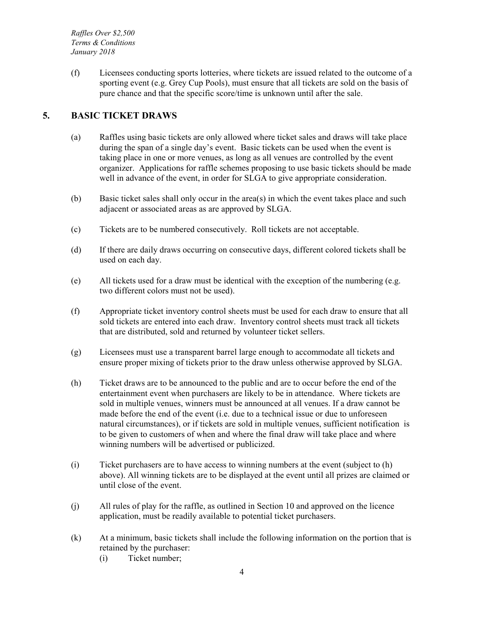*Raffles Over \$2,500 Terms & Conditions January 2018*

(f) Licensees conducting sports lotteries, where tickets are issued related to the outcome of a sporting event (e.g. Grey Cup Pools), must ensure that all tickets are sold on the basis of pure chance and that the specific score/time is unknown until after the sale.

### <span id="page-9-0"></span>**5. BASIC TICKET DRAWS**

- (a) Raffles using basic tickets are only allowed where ticket sales and draws will take place during the span of a single day's event. Basic tickets can be used when the event is taking place in one or more venues, as long as all venues are controlled by the event organizer. Applications for raffle schemes proposing to use basic tickets should be made well in advance of the event, in order for SLGA to give appropriate consideration.
- (b) Basic ticket sales shall only occur in the area(s) in which the event takes place and such adjacent or associated areas as are approved by SLGA.
- (c) Tickets are to be numbered consecutively. Roll tickets are not acceptable.
- (d) If there are daily draws occurring on consecutive days, different colored tickets shall be used on each day.
- (e) All tickets used for a draw must be identical with the exception of the numbering (e.g. two different colors must not be used).
- (f) Appropriate ticket inventory control sheets must be used for each draw to ensure that all sold tickets are entered into each draw. Inventory control sheets must track all tickets that are distributed, sold and returned by volunteer ticket sellers.
- (g) Licensees must use a transparent barrel large enough to accommodate all tickets and ensure proper mixing of tickets prior to the draw unless otherwise approved by SLGA.
- (h) Ticket draws are to be announced to the public and are to occur before the end of the entertainment event when purchasers are likely to be in attendance. Where tickets are sold in multiple venues, winners must be announced at all venues. If a draw cannot be made before the end of the event (i.e. due to a technical issue or due to unforeseen natural circumstances), or if tickets are sold in multiple venues, sufficient notification is to be given to customers of when and where the final draw will take place and where winning numbers will be advertised or publicized.
- (i) Ticket purchasers are to have access to winning numbers at the event (subject to (h) above). All winning tickets are to be displayed at the event until all prizes are claimed or until close of the event.
- (j) All rules of play for the raffle, as outlined in Section 10 and approved on the licence application, must be readily available to potential ticket purchasers.
- (k) At a minimum, basic tickets shall include the following information on the portion that is retained by the purchaser:
	- (i) Ticket number;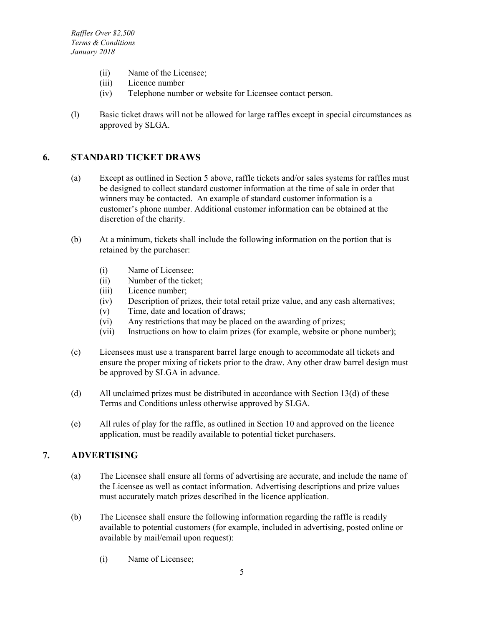- (ii) Name of the Licensee;
- (iii) Licence number
- (iv) Telephone number or website for Licensee contact person.
- (l) Basic ticket draws will not be allowed for large raffles except in special circumstances as approved by SLGA.

#### <span id="page-10-0"></span>**6. STANDARD TICKET DRAWS**

- (a) Except as outlined in Section 5 above, raffle tickets and/or sales systems for raffles must be designed to collect standard customer information at the time of sale in order that winners may be contacted. An example of standard customer information is a customer's phone number. Additional customer information can be obtained at the discretion of the charity.
- (b) At a minimum, tickets shall include the following information on the portion that is retained by the purchaser:
	- (i) Name of Licensee;
	- (ii) Number of the ticket;
	- (iii) Licence number;
	- (iv) Description of prizes, their total retail prize value, and any cash alternatives;
	- (v) Time, date and location of draws;
	- (vi) Any restrictions that may be placed on the awarding of prizes;
	- (vii) Instructions on how to claim prizes (for example, website or phone number);
- (c) Licensees must use a transparent barrel large enough to accommodate all tickets and ensure the proper mixing of tickets prior to the draw. Any other draw barrel design must be approved by SLGA in advance.
- (d) All unclaimed prizes must be distributed in accordance with Section 13(d) of these Terms and Conditions unless otherwise approved by SLGA.
- (e) All rules of play for the raffle, as outlined in Section 10 and approved on the licence application, must be readily available to potential ticket purchasers.

### <span id="page-10-1"></span>**7. ADVERTISING**

- (a) The Licensee shall ensure all forms of advertising are accurate, and include the name of the Licensee as well as contact information. Advertising descriptions and prize values must accurately match prizes described in the licence application.
- (b) The Licensee shall ensure the following information regarding the raffle is readily available to potential customers (for example, included in advertising, posted online or available by mail/email upon request):
	- (i) Name of Licensee;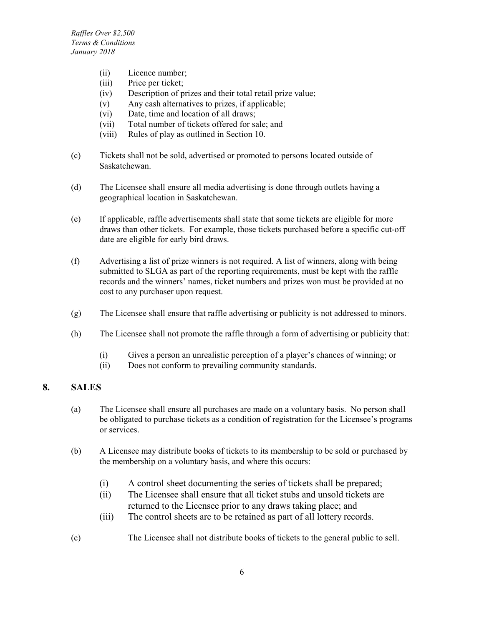- (ii) Licence number;
- (iii) Price per ticket;
- (iv) Description of prizes and their total retail prize value;
- (v) Any cash alternatives to prizes, if applicable;
- (vi) Date, time and location of all draws;
- (vii) Total number of tickets offered for sale; and
- (viii) Rules of play as outlined in Section 10.
- (c) Tickets shall not be sold, advertised or promoted to persons located outside of Saskatchewan.
- (d) The Licensee shall ensure all media advertising is done through outlets having a geographical location in Saskatchewan.
- (e) If applicable, raffle advertisements shall state that some tickets are eligible for more draws than other tickets. For example, those tickets purchased before a specific cut-off date are eligible for early bird draws.
- (f) Advertising a list of prize winners is not required. A list of winners, along with being submitted to SLGA as part of the reporting requirements, must be kept with the raffle records and the winners' names, ticket numbers and prizes won must be provided at no cost to any purchaser upon request.
- (g) The Licensee shall ensure that raffle advertising or publicity is not addressed to minors.
- (h) The Licensee shall not promote the raffle through a form of advertising or publicity that:
	- (i) Gives a person an unrealistic perception of a player's chances of winning; or
	- (ii) Does not conform to prevailing community standards.

### <span id="page-11-0"></span>**8. SALES**

- (a) The Licensee shall ensure all purchases are made on a voluntary basis. No person shall be obligated to purchase tickets as a condition of registration for the Licensee's programs or services.
- (b) A Licensee may distribute books of tickets to its membership to be sold or purchased by the membership on a voluntary basis, and where this occurs:
	- (i) A control sheet documenting the series of tickets shall be prepared;
	- (ii) The Licensee shall ensure that all ticket stubs and unsold tickets are returned to the Licensee prior to any draws taking place; and
	- (iii) The control sheets are to be retained as part of all lottery records.
- (c) The Licensee shall not distribute books of tickets to the general public to sell.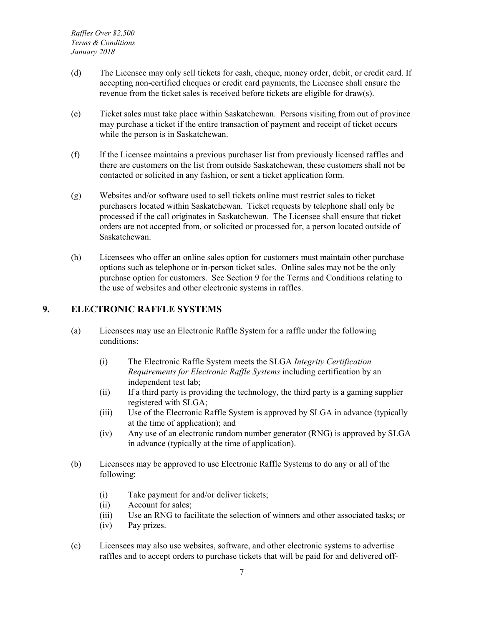- (d) The Licensee may only sell tickets for cash, cheque, money order, debit, or credit card. If accepting non-certified cheques or credit card payments, the Licensee shall ensure the revenue from the ticket sales is received before tickets are eligible for draw(s).
- (e) Ticket sales must take place within Saskatchewan. Persons visiting from out of province may purchase a ticket if the entire transaction of payment and receipt of ticket occurs while the person is in Saskatchewan.
- (f) If the Licensee maintains a previous purchaser list from previously licensed raffles and there are customers on the list from outside Saskatchewan, these customers shall not be contacted or solicited in any fashion, or sent a ticket application form.
- (g) Websites and/or software used to sell tickets online must restrict sales to ticket purchasers located within Saskatchewan. Ticket requests by telephone shall only be processed if the call originates in Saskatchewan. The Licensee shall ensure that ticket orders are not accepted from, or solicited or processed for, a person located outside of Saskatchewan.
- (h) Licensees who offer an online sales option for customers must maintain other purchase options such as telephone or in-person ticket sales. Online sales may not be the only purchase option for customers. See Section 9 for the Terms and Conditions relating to the use of websites and other electronic systems in raffles.

#### <span id="page-12-0"></span>**9. ELECTRONIC RAFFLE SYSTEMS**

- (a) Licensees may use an Electronic Raffle System for a raffle under the following conditions:
	- (i) The Electronic Raffle System meets the SLGA *Integrity Certification Requirements for Electronic Raffle Systems* including certification by an independent test lab;
	- (ii) If a third party is providing the technology, the third party is a gaming supplier registered with SLGA;
	- (iii) Use of the Electronic Raffle System is approved by SLGA in advance (typically at the time of application); and
	- (iv) Any use of an electronic random number generator (RNG) is approved by SLGA in advance (typically at the time of application).
- (b) Licensees may be approved to use Electronic Raffle Systems to do any or all of the following:
	- (i) Take payment for and/or deliver tickets;
	- (ii) Account for sales;
	- (iii) Use an RNG to facilitate the selection of winners and other associated tasks; or
	- (iv) Pay prizes.
- (c) Licensees may also use websites, software, and other electronic systems to advertise raffles and to accept orders to purchase tickets that will be paid for and delivered off-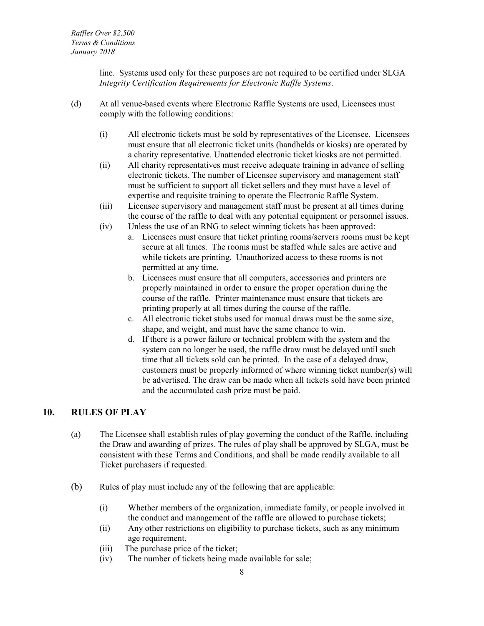line. Systems used only for these purposes are not required to be certified under SLGA *Integrity Certification Requirements for Electronic Raffle Systems*.

- (d) At all venue-based events where Electronic Raffle Systems are used, Licensees must comply with the following conditions:
	- (i) All electronic tickets must be sold by representatives of the Licensee. Licensees must ensure that all electronic ticket units (handhelds or kiosks) are operated by a charity representative. Unattended electronic ticket kiosks are not permitted.
	- (ii) All charity representatives must receive adequate training in advance of selling electronic tickets. The number of Licensee supervisory and management staff must be sufficient to support all ticket sellers and they must have a level of expertise and requisite training to operate the Electronic Raffle System.
	- (iii) Licensee supervisory and management staff must be present at all times during the course of the raffle to deal with any potential equipment or personnel issues.
	- (iv) Unless the use of an RNG to select winning tickets has been approved:
		- a. Licensees must ensure that ticket printing rooms/servers rooms must be kept secure at all times. The rooms must be staffed while sales are active and while tickets are printing. Unauthorized access to these rooms is not permitted at any time.
		- b. Licensees must ensure that all computers, accessories and printers are properly maintained in order to ensure the proper operation during the course of the raffle. Printer maintenance must ensure that tickets are printing properly at all times during the course of the raffle.
		- c. All electronic ticket stubs used for manual draws must be the same size, shape, and weight, and must have the same chance to win.
		- d. If there is a power failure or technical problem with the system and the system can no longer be used, the raffle draw must be delayed until such time that all tickets sold can be printed. In the case of a delayed draw, customers must be properly informed of where winning ticket number(s) will be advertised. The draw can be made when all tickets sold have been printed and the accumulated cash prize must be paid.

#### <span id="page-13-0"></span>**10. RULES OF PLAY**

- (a) The Licensee shall establish rules of play governing the conduct of the Raffle, including the Draw and awarding of prizes. The rules of play shall be approved by SLGA, must be consistent with these Terms and Conditions, and shall be made readily available to all Ticket purchasers if requested.
- (b) Rules of play must include any of the following that are applicable:
	- (i) Whether members of the organization, immediate family, or people involved in the conduct and management of the raffle are allowed to purchase tickets;
	- (ii) Any other restrictions on eligibility to purchase tickets, such as any minimum age requirement.
	- (iii) The purchase price of the ticket;
	- (iv) The number of tickets being made available for sale;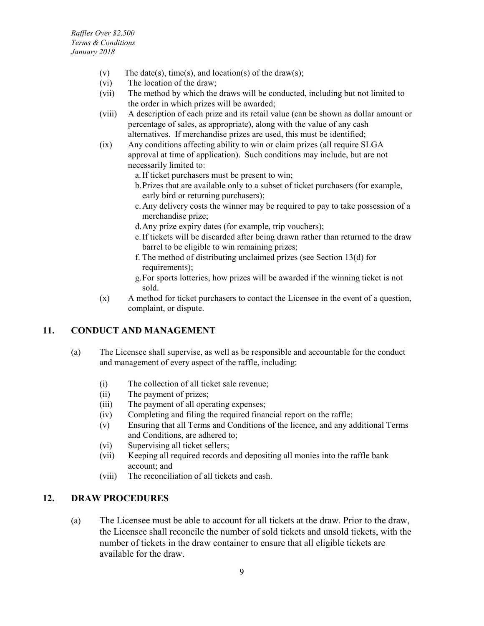- (v) The date(s), time(s), and location(s) of the draw(s);
- (vi) The location of the draw;
- (vii) The method by which the draws will be conducted, including but not limited to the order in which prizes will be awarded;
- (viii) A description of each prize and its retail value (can be shown as dollar amount or percentage of sales, as appropriate), along with the value of any cash alternatives. If merchandise prizes are used, this must be identified;
- (ix) Any conditions affecting ability to win or claim prizes (all require SLGA approval at time of application). Such conditions may include, but are not necessarily limited to:
	- a.If ticket purchasers must be present to win;
	- b.Prizes that are available only to a subset of ticket purchasers (for example, early bird or returning purchasers);
	- c.Any delivery costs the winner may be required to pay to take possession of a merchandise prize;
	- d.Any prize expiry dates (for example, trip vouchers);
	- e.If tickets will be discarded after being drawn rather than returned to the draw barrel to be eligible to win remaining prizes;
	- f. The method of distributing unclaimed prizes (see Section 13(d) for requirements);
	- g.For sports lotteries, how prizes will be awarded if the winning ticket is not sold.
- (x) A method for ticket purchasers to contact the Licensee in the event of a question, complaint, or dispute.

### <span id="page-14-0"></span>**11. CONDUCT AND MANAGEMENT**

- (a) The Licensee shall supervise, as well as be responsible and accountable for the conduct and management of every aspect of the raffle, including:
	- (i) The collection of all ticket sale revenue;
	- (ii) The payment of prizes;
	- (iii) The payment of all operating expenses;
	- (iv) Completing and filing the required financial report on the raffle;
	- (v) Ensuring that all Terms and Conditions of the licence, and any additional Terms and Conditions, are adhered to;
	- (vi) Supervising all ticket sellers;
	- (vii) Keeping all required records and depositing all monies into the raffle bank account; and
	- (viii) The reconciliation of all tickets and cash.

### <span id="page-14-1"></span>**12. DRAW PROCEDURES**

(a) The Licensee must be able to account for all tickets at the draw. Prior to the draw, the Licensee shall reconcile the number of sold tickets and unsold tickets, with the number of tickets in the draw container to ensure that all eligible tickets are available for the draw.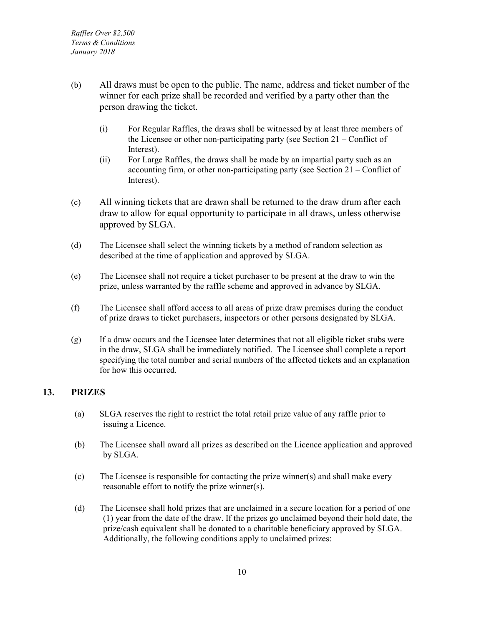- (b) All draws must be open to the public. The name, address and ticket number of the winner for each prize shall be recorded and verified by a party other than the person drawing the ticket.
	- (i) For Regular Raffles, the draws shall be witnessed by at least three members of the Licensee or other non-participating party (see Section 21 – Conflict of Interest).
	- (ii) For Large Raffles, the draws shall be made by an impartial party such as an accounting firm, or other non-participating party (see Section 21 – Conflict of Interest).
- (c) All winning tickets that are drawn shall be returned to the draw drum after each draw to allow for equal opportunity to participate in all draws, unless otherwise approved by SLGA.
- (d) The Licensee shall select the winning tickets by a method of random selection as described at the time of application and approved by SLGA.
- (e) The Licensee shall not require a ticket purchaser to be present at the draw to win the prize, unless warranted by the raffle scheme and approved in advance by SLGA.
- (f) The Licensee shall afford access to all areas of prize draw premises during the conduct of prize draws to ticket purchasers, inspectors or other persons designated by SLGA.
- (g) If a draw occurs and the Licensee later determines that not all eligible ticket stubs were in the draw, SLGA shall be immediately notified. The Licensee shall complete a report specifying the total number and serial numbers of the affected tickets and an explanation for how this occurred.

### <span id="page-15-0"></span>**13. PRIZES**

- (a) SLGA reserves the right to restrict the total retail prize value of any raffle prior to issuing a Licence.
- (b) The Licensee shall award all prizes as described on the Licence application and approved by SLGA.
- (c) The Licensee is responsible for contacting the prize winner(s) and shall make every reasonable effort to notify the prize winner(s).
- (d) The Licensee shall hold prizes that are unclaimed in a secure location for a period of one (1) year from the date of the draw. If the prizes go unclaimed beyond their hold date, the prize/cash equivalent shall be donated to a charitable beneficiary approved by SLGA. Additionally, the following conditions apply to unclaimed prizes: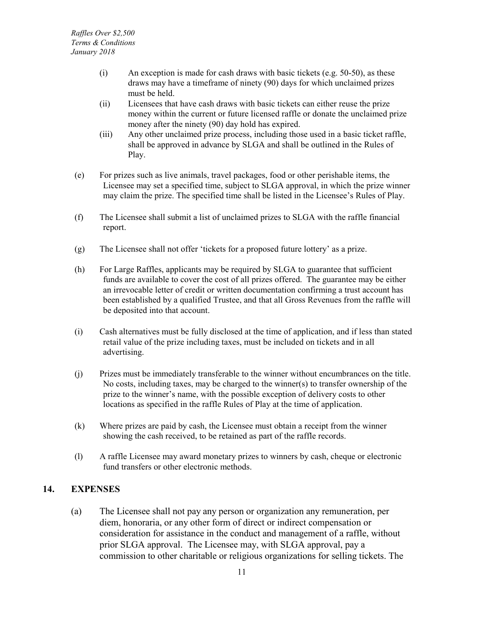- (i) An exception is made for cash draws with basic tickets (e.g. 50-50), as these draws may have a timeframe of ninety (90) days for which unclaimed prizes must be held.
- (ii) Licensees that have cash draws with basic tickets can either reuse the prize money within the current or future licensed raffle or donate the unclaimed prize money after the ninety (90) day hold has expired.
- (iii) Any other unclaimed prize process, including those used in a basic ticket raffle, shall be approved in advance by SLGA and shall be outlined in the Rules of Play.
- (e) For prizes such as live animals, travel packages, food or other perishable items, the Licensee may set a specified time, subject to SLGA approval, in which the prize winner may claim the prize. The specified time shall be listed in the Licensee's Rules of Play.
- (f) The Licensee shall submit a list of unclaimed prizes to SLGA with the raffle financial report.
- (g) The Licensee shall not offer 'tickets for a proposed future lottery' as a prize.
- (h) For Large Raffles, applicants may be required by SLGA to guarantee that sufficient funds are available to cover the cost of all prizes offered. The guarantee may be either an irrevocable letter of credit or written documentation confirming a trust account has been established by a qualified Trustee, and that all Gross Revenues from the raffle will be deposited into that account.
- (i) Cash alternatives must be fully disclosed at the time of application, and if less than stated retail value of the prize including taxes, must be included on tickets and in all advertising.
- (j) Prizes must be immediately transferable to the winner without encumbrances on the title. No costs, including taxes, may be charged to the winner(s) to transfer ownership of the prize to the winner's name, with the possible exception of delivery costs to other locations as specified in the raffle Rules of Play at the time of application.
- (k) Where prizes are paid by cash, the Licensee must obtain a receipt from the winner showing the cash received, to be retained as part of the raffle records.
- (l) A raffle Licensee may award monetary prizes to winners by cash, cheque or electronic fund transfers or other electronic methods.

### <span id="page-16-0"></span>**14. EXPENSES**

(a) The Licensee shall not pay any person or organization any remuneration, per diem, honoraria, or any other form of direct or indirect compensation or consideration for assistance in the conduct and management of a raffle, without prior SLGA approval. The Licensee may, with SLGA approval, pay a commission to other charitable or religious organizations for selling tickets. The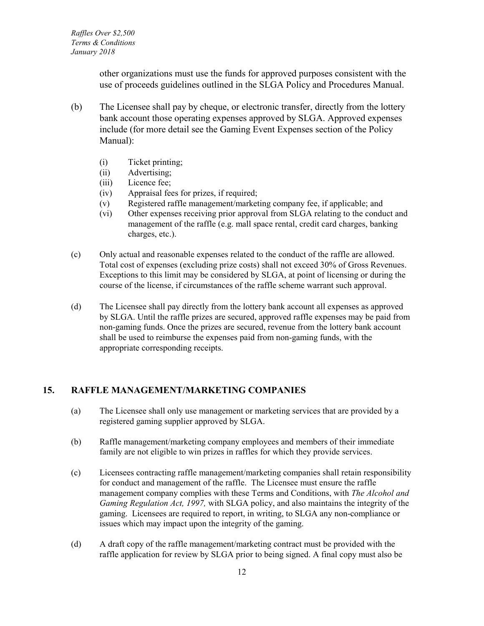other organizations must use the funds for approved purposes consistent with the use of proceeds guidelines outlined in the SLGA Policy and Procedures Manual.

- (b) The Licensee shall pay by cheque, or electronic transfer, directly from the lottery bank account those operating expenses approved by SLGA. Approved expenses include (for more detail see the Gaming Event Expenses section of the Policy Manual):
	- (i) Ticket printing;
	- (ii) Advertising;
	- (iii) Licence fee;
	- (iv) Appraisal fees for prizes, if required;
	- (v) Registered raffle management/marketing company fee, if applicable; and
	- (vi) Other expenses receiving prior approval from SLGA relating to the conduct and management of the raffle (e.g. mall space rental, credit card charges, banking charges, etc.).
- (c) Only actual and reasonable expenses related to the conduct of the raffle are allowed. Total cost of expenses (excluding prize costs) shall not exceed 30% of Gross Revenues. Exceptions to this limit may be considered by SLGA, at point of licensing or during the course of the license, if circumstances of the raffle scheme warrant such approval.
- (d) The Licensee shall pay directly from the lottery bank account all expenses as approved by SLGA. Until the raffle prizes are secured, approved raffle expenses may be paid from non-gaming funds. Once the prizes are secured, revenue from the lottery bank account shall be used to reimburse the expenses paid from non-gaming funds, with the appropriate corresponding receipts.

#### <span id="page-17-0"></span>**15. RAFFLE MANAGEMENT/MARKETING COMPANIES**

- (a) The Licensee shall only use management or marketing services that are provided by a registered gaming supplier approved by SLGA.
- (b) Raffle management/marketing company employees and members of their immediate family are not eligible to win prizes in raffles for which they provide services.
- (c) Licensees contracting raffle management/marketing companies shall retain responsibility for conduct and management of the raffle. The Licensee must ensure the raffle management company complies with these Terms and Conditions, with *The Alcohol and Gaming Regulation Act, 1997,* with SLGA policy, and also maintains the integrity of the gaming. Licensees are required to report, in writing, to SLGA any non-compliance or issues which may impact upon the integrity of the gaming.
- (d) A draft copy of the raffle management/marketing contract must be provided with the raffle application for review by SLGA prior to being signed. A final copy must also be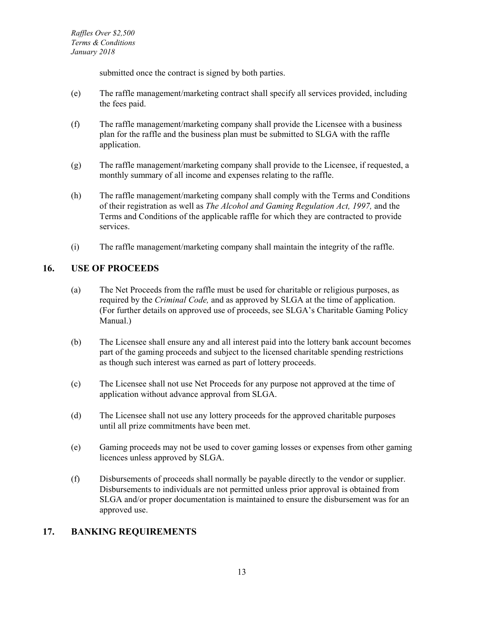*Raffles Over \$2,500 Terms & Conditions January 2018*

submitted once the contract is signed by both parties.

- (e) The raffle management/marketing contract shall specify all services provided, including the fees paid.
- (f) The raffle management/marketing company shall provide the Licensee with a business plan for the raffle and the business plan must be submitted to SLGA with the raffle application.
- (g) The raffle management/marketing company shall provide to the Licensee, if requested, a monthly summary of all income and expenses relating to the raffle.
- (h) The raffle management/marketing company shall comply with the Terms and Conditions of their registration as well as *The Alcohol and Gaming Regulation Act, 1997,* and the Terms and Conditions of the applicable raffle for which they are contracted to provide services.
- (i) The raffle management/marketing company shall maintain the integrity of the raffle.

#### <span id="page-18-0"></span>**16. USE OF PROCEEDS**

- (a) The Net Proceeds from the raffle must be used for charitable or religious purposes, as required by the *Criminal Code,* and as approved by SLGA at the time of application. (For further details on approved use of proceeds, see SLGA's Charitable Gaming Policy Manual.)
- (b) The Licensee shall ensure any and all interest paid into the lottery bank account becomes part of the gaming proceeds and subject to the licensed charitable spending restrictions as though such interest was earned as part of lottery proceeds.
- (c) The Licensee shall not use Net Proceeds for any purpose not approved at the time of application without advance approval from SLGA.
- (d) The Licensee shall not use any lottery proceeds for the approved charitable purposes until all prize commitments have been met.
- (e) Gaming proceeds may not be used to cover gaming losses or expenses from other gaming licences unless approved by SLGA.
- (f) Disbursements of proceeds shall normally be payable directly to the vendor or supplier. Disbursements to individuals are not permitted unless prior approval is obtained from SLGA and/or proper documentation is maintained to ensure the disbursement was for an approved use.

#### <span id="page-18-1"></span>**17. BANKING REQUIREMENTS**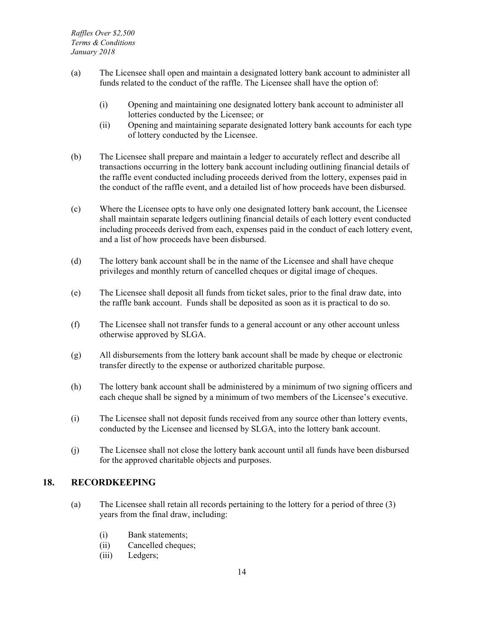- (a) The Licensee shall open and maintain a designated lottery bank account to administer all funds related to the conduct of the raffle. The Licensee shall have the option of:
	- (i) Opening and maintaining one designated lottery bank account to administer all lotteries conducted by the Licensee; or
	- (ii) Opening and maintaining separate designated lottery bank accounts for each type of lottery conducted by the Licensee.
- (b) The Licensee shall prepare and maintain a ledger to accurately reflect and describe all transactions occurring in the lottery bank account including outlining financial details of the raffle event conducted including proceeds derived from the lottery, expenses paid in the conduct of the raffle event, and a detailed list of how proceeds have been disbursed.
- (c) Where the Licensee opts to have only one designated lottery bank account, the Licensee shall maintain separate ledgers outlining financial details of each lottery event conducted including proceeds derived from each, expenses paid in the conduct of each lottery event, and a list of how proceeds have been disbursed.
- (d) The lottery bank account shall be in the name of the Licensee and shall have cheque privileges and monthly return of cancelled cheques or digital image of cheques.
- (e) The Licensee shall deposit all funds from ticket sales, prior to the final draw date, into the raffle bank account. Funds shall be deposited as soon as it is practical to do so.
- (f) The Licensee shall not transfer funds to a general account or any other account unless otherwise approved by SLGA.
- (g) All disbursements from the lottery bank account shall be made by cheque or electronic transfer directly to the expense or authorized charitable purpose.
- (h) The lottery bank account shall be administered by a minimum of two signing officers and each cheque shall be signed by a minimum of two members of the Licensee's executive.
- (i) The Licensee shall not deposit funds received from any source other than lottery events, conducted by the Licensee and licensed by SLGA, into the lottery bank account.
- (j) The Licensee shall not close the lottery bank account until all funds have been disbursed for the approved charitable objects and purposes.

### <span id="page-19-0"></span>**18. RECORDKEEPING**

- (a) The Licensee shall retain all records pertaining to the lottery for a period of three (3) years from the final draw, including:
	- (i) Bank statements;
	- (ii) Cancelled cheques;
	- (iii) Ledgers;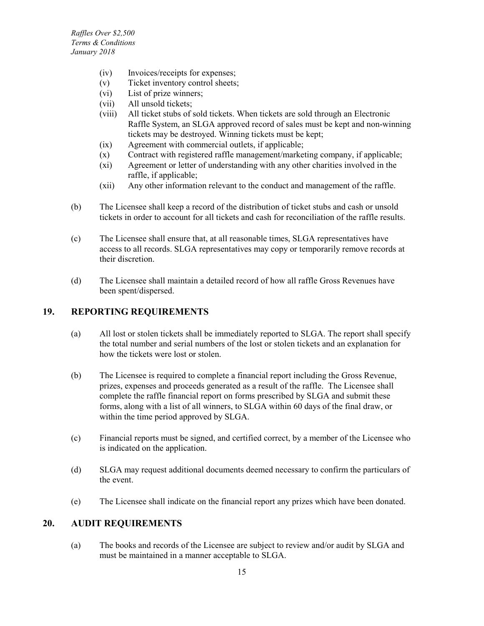- (iv) Invoices/receipts for expenses;
- (v) Ticket inventory control sheets;
- (vi) List of prize winners;
- (vii) All unsold tickets;
- (viii) All ticket stubs of sold tickets. When tickets are sold through an Electronic Raffle System, an SLGA approved record of sales must be kept and non-winning tickets may be destroyed. Winning tickets must be kept;
- (ix) Agreement with commercial outlets, if applicable;
- (x) Contract with registered raffle management/marketing company, if applicable;
- (xi) Agreement or letter of understanding with any other charities involved in the raffle, if applicable;
- (xii) Any other information relevant to the conduct and management of the raffle.
- (b) The Licensee shall keep a record of the distribution of ticket stubs and cash or unsold tickets in order to account for all tickets and cash for reconciliation of the raffle results.
- (c) The Licensee shall ensure that, at all reasonable times, SLGA representatives have access to all records. SLGA representatives may copy or temporarily remove records at their discretion.
- (d) The Licensee shall maintain a detailed record of how all raffle Gross Revenues have been spent/dispersed.

#### <span id="page-20-0"></span>**19. REPORTING REQUIREMENTS**

- (a) All lost or stolen tickets shall be immediately reported to SLGA. The report shall specify the total number and serial numbers of the lost or stolen tickets and an explanation for how the tickets were lost or stolen.
- (b) The Licensee is required to complete a financial report including the Gross Revenue, prizes, expenses and proceeds generated as a result of the raffle. The Licensee shall complete the raffle financial report on forms prescribed by SLGA and submit these forms, along with a list of all winners, to SLGA within 60 days of the final draw, or within the time period approved by SLGA.
- (c) Financial reports must be signed, and certified correct, by a member of the Licensee who is indicated on the application.
- (d) SLGA may request additional documents deemed necessary to confirm the particulars of the event.
- (e) The Licensee shall indicate on the financial report any prizes which have been donated.

### <span id="page-20-1"></span>**20. AUDIT REQUIREMENTS**

(a) The books and records of the Licensee are subject to review and/or audit by SLGA and must be maintained in a manner acceptable to SLGA.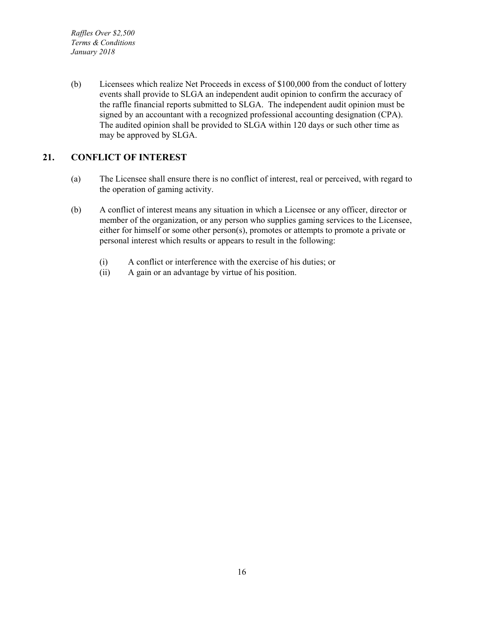*Raffles Over \$2,500 Terms & Conditions January 2018*

(b) Licensees which realize Net Proceeds in excess of \$100,000 from the conduct of lottery events shall provide to SLGA an independent audit opinion to confirm the accuracy of the raffle financial reports submitted to SLGA. The independent audit opinion must be signed by an accountant with a recognized professional accounting designation (CPA). The audited opinion shall be provided to SLGA within 120 days or such other time as may be approved by SLGA.

### <span id="page-21-0"></span>**21. CONFLICT OF INTEREST**

- (a) The Licensee shall ensure there is no conflict of interest, real or perceived, with regard to the operation of gaming activity.
- (b) A conflict of interest means any situation in which a Licensee or any officer, director or member of the organization, or any person who supplies gaming services to the Licensee, either for himself or some other person(s), promotes or attempts to promote a private or personal interest which results or appears to result in the following:
	- (i) A conflict or interference with the exercise of his duties; or
	- (ii) A gain or an advantage by virtue of his position.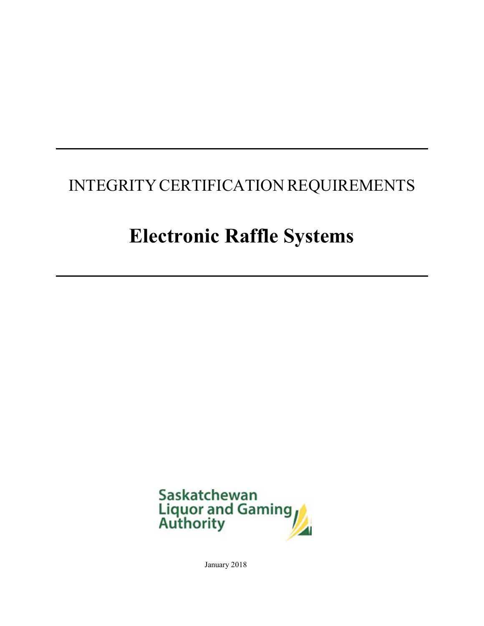# INTEGRITY CERTIFICATION REQUIREMENTS

# **Electronic Raffle Systems**



January 2018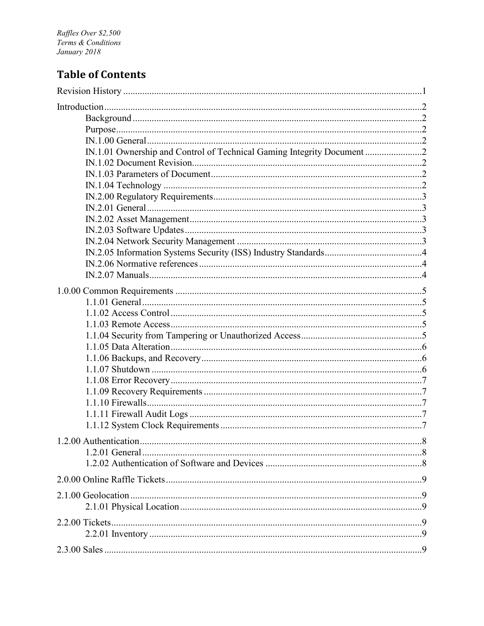Raffles Over \$2,500<br>Terms & Conditions January 2018

### **Table of Contents**

| IN.1.01 Ownership and Control of Technical Gaming Integrity Document 2 |  |
|------------------------------------------------------------------------|--|
|                                                                        |  |
|                                                                        |  |
|                                                                        |  |
|                                                                        |  |
|                                                                        |  |
|                                                                        |  |
|                                                                        |  |
|                                                                        |  |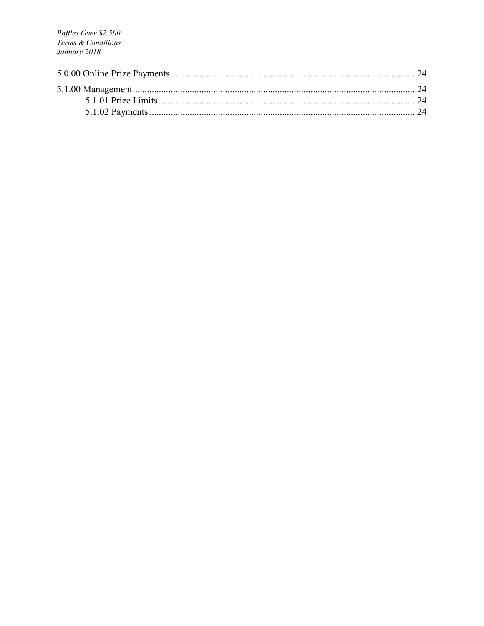Raffles Over \$2,500 Terms & Conditions January 2018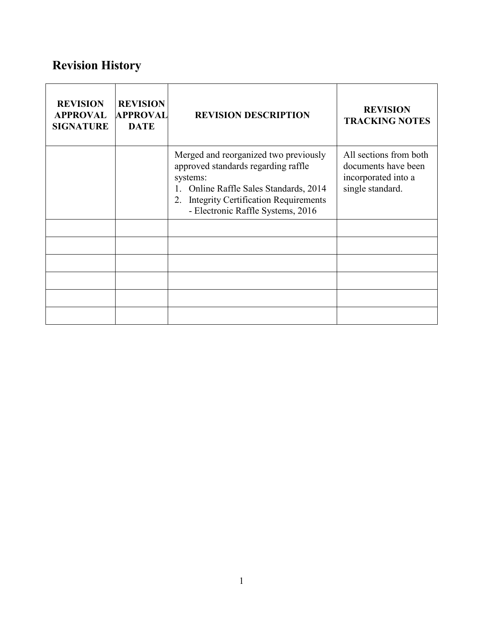# <span id="page-27-0"></span>**Revision History**

| <b>REVISION</b><br><b>APPROVAL</b><br><b>SIGNATURE</b> | <b>REVISION</b><br><b>APPROVAL</b><br><b>DATE</b> | <b>REVISION DESCRIPTION</b>                                                                                                                                                                                               | <b>REVISION</b><br><b>TRACKING NOTES</b>                                                 |
|--------------------------------------------------------|---------------------------------------------------|---------------------------------------------------------------------------------------------------------------------------------------------------------------------------------------------------------------------------|------------------------------------------------------------------------------------------|
|                                                        |                                                   | Merged and reorganized two previously<br>approved standards regarding raffle<br>systems:<br>Online Raffle Sales Standards, 2014<br><b>Integrity Certification Requirements</b><br>2.<br>- Electronic Raffle Systems, 2016 | All sections from both<br>documents have been<br>incorporated into a<br>single standard. |
|                                                        |                                                   |                                                                                                                                                                                                                           |                                                                                          |
|                                                        |                                                   |                                                                                                                                                                                                                           |                                                                                          |
|                                                        |                                                   |                                                                                                                                                                                                                           |                                                                                          |
|                                                        |                                                   |                                                                                                                                                                                                                           |                                                                                          |
|                                                        |                                                   |                                                                                                                                                                                                                           |                                                                                          |
|                                                        |                                                   |                                                                                                                                                                                                                           |                                                                                          |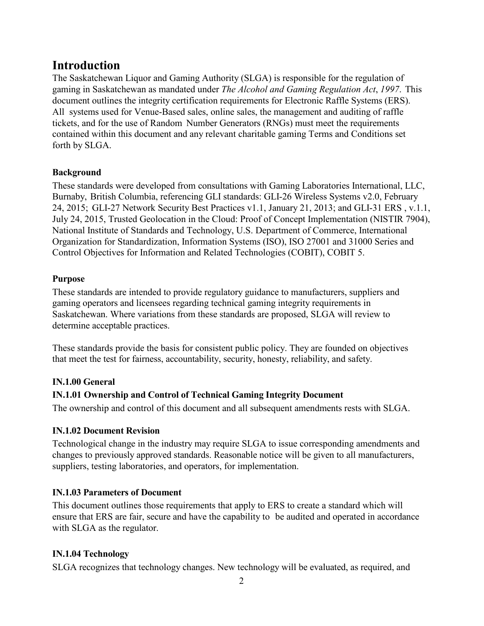### <span id="page-28-0"></span>**Introduction**

The Saskatchewan Liquor and Gaming Authority (SLGA) is responsible for the regulation of gaming in Saskatchewan as mandated under *The Alcohol and Gaming Regulation Act*, *1997*. This document outlines the integrity certification requirements for Electronic Raffle Systems (ERS). All systems used for Venue-Based sales, online sales, the management and auditing of raffle tickets, and for the use of Random Number Generators (RNGs) must meet the requirements contained within this document and any relevant charitable gaming Terms and Conditions set forth by SLGA.

### <span id="page-28-1"></span>**Background**

These standards were developed from consultations with Gaming Laboratories International, LLC, Burnaby, British Columbia, referencing GLI standards: GLI-26 Wireless Systems v2.0, February 24, 2015; GLI-27 Network Security Best Practices v1.1, January 21, 2013; and GLI-31 ERS , v.1.1, July 24, 2015, Trusted Geolocation in the Cloud: Proof of Concept Implementation (NISTIR 7904), National Institute of Standards and Technology, U.S. Department of Commerce, International Organization for Standardization, Information Systems (ISO), ISO 27001 and 31000 Series and Control Objectives for Information and Related Technologies (COBIT), COBIT 5.

### <span id="page-28-2"></span>**Purpose**

These standards are intended to provide regulatory guidance to manufacturers, suppliers and gaming operators and licensees regarding technical gaming integrity requirements in Saskatchewan. Where variations from these standards are proposed, SLGA will review to determine acceptable practices.

These standards provide the basis for consistent public policy. They are founded on objectives that meet the test for fairness, accountability, security, honesty, reliability, and safety.

### <span id="page-28-3"></span>**IN.1.00 General**

### <span id="page-28-4"></span>**IN.1.01 Ownership and Control of Technical Gaming Integrity Document**

The ownership and control of this document and all subsequent amendments rests with SLGA.

### <span id="page-28-5"></span>**IN.1.02 Document Revision**

Technological change in the industry may require SLGA to issue corresponding amendments and changes to previously approved standards. Reasonable notice will be given to all manufacturers, suppliers, testing laboratories, and operators, for implementation.

### <span id="page-28-6"></span>**IN.1.03 Parameters of Document**

This document outlines those requirements that apply to ERS to create a standard which will ensure that ERS are fair, secure and have the capability to be audited and operated in accordance with SLGA as the regulator.

### <span id="page-28-7"></span>**IN.1.04 Technology**

SLGA recognizes that technology changes. New technology will be evaluated, as required, and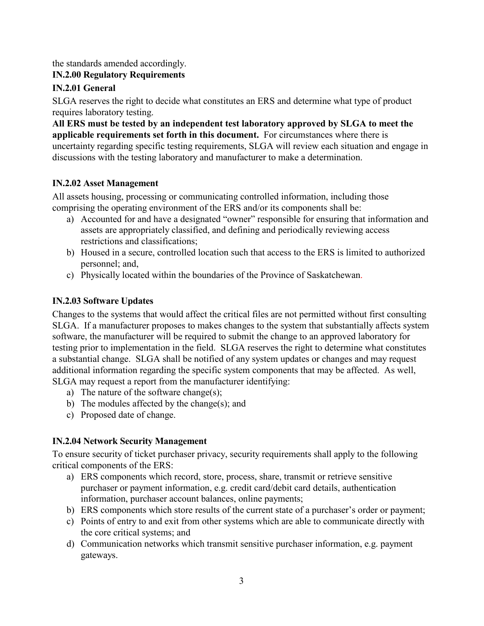the standards amended accordingly.

### <span id="page-29-0"></span>**IN.2.00 Regulatory Requirements**

### <span id="page-29-1"></span>**IN.2.01 General**

SLGA reserves the right to decide what constitutes an ERS and determine what type of product requires laboratory testing.

**All ERS must be tested by an independent test laboratory approved by SLGA to meet the applicable requirements set forth in this document.** For circumstances where there is uncertainty regarding specific testing requirements, SLGA will review each situation and engage in discussions with the testing laboratory and manufacturer to make a determination.

### <span id="page-29-2"></span>**IN.2.02 Asset Management**

All assets housing, processing or communicating controlled information, including those comprising the operating environment of the ERS and/or its components shall be:

- a) Accounted for and have a designated "owner" responsible for ensuring that information and assets are appropriately classified, and defining and periodically reviewing access restrictions and classifications;
- b) Housed in a secure, controlled location such that access to the ERS is limited to authorized personnel; and,
- c) Physically located within the boundaries of the Province of Saskatchewan.

### <span id="page-29-3"></span>**IN.2.03 Software Updates**

Changes to the systems that would affect the critical files are not permitted without first consulting SLGA. If a manufacturer proposes to makes changes to the system that substantially affects system software, the manufacturer will be required to submit the change to an approved laboratory for testing prior to implementation in the field. SLGA reserves the right to determine what constitutes a substantial change. SLGA shall be notified of any system updates or changes and may request additional information regarding the specific system components that may be affected. As well, SLGA may request a report from the manufacturer identifying:

- a) The nature of the software change(s);
- b) The modules affected by the change(s); and
- c) Proposed date of change.

### <span id="page-29-4"></span>**IN.2.04 Network Security Management**

To ensure security of ticket purchaser privacy, security requirements shall apply to the following critical components of the ERS:

- a) ERS components which record, store, process, share, transmit or retrieve sensitive purchaser or payment information, e.g. credit card/debit card details, authentication information, purchaser account balances, online payments;
- b) ERS components which store results of the current state of a purchaser's order or payment;
- c) Points of entry to and exit from other systems which are able to communicate directly with the core critical systems; and
- d) Communication networks which transmit sensitive purchaser information, e.g. payment gateways.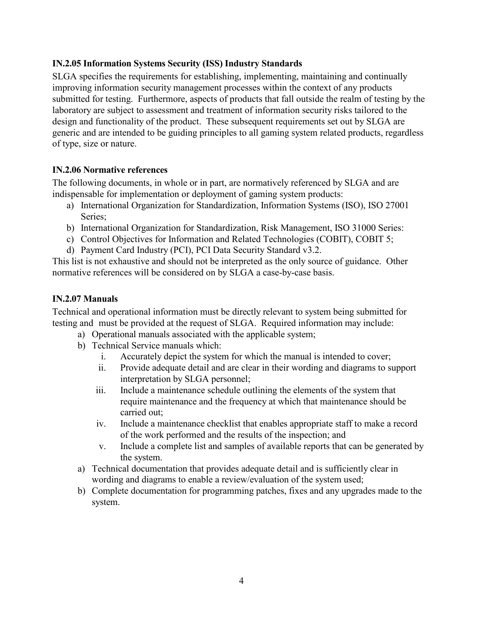### <span id="page-30-0"></span>**IN.2.05 Information Systems Security (ISS) Industry Standards**

SLGA specifies the requirements for establishing, implementing, maintaining and continually improving information security management processes within the context of any products submitted for testing. Furthermore, aspects of products that fall outside the realm of testing by the laboratory are subject to assessment and treatment of information security risks tailored to the design and functionality of the product. These subsequent requirements set out by SLGA are generic and are intended to be guiding principles to all gaming system related products, regardless of type, size or nature.

### <span id="page-30-1"></span>**IN.2.06 Normative references**

The following documents, in whole or in part, are normatively referenced by SLGA and are indispensable for implementation or deployment of gaming system products:

- a) International Organization for Standardization, Information Systems (ISO), ISO 27001 Series;
- b) International Organization for Standardization, Risk Management, ISO 31000 Series:
- c) Control Objectives for Information and Related Technologies (COBIT), COBIT 5;
- d) Payment Card Industry (PCI), PCI Data Security Standard v3.2.

This list is not exhaustive and should not be interpreted as the only source of guidance. Other normative references will be considered on by SLGA a case-by-case basis.

### <span id="page-30-2"></span>**IN.2.07 Manuals**

Technical and operational information must be directly relevant to system being submitted for testing and must be provided at the request of SLGA. Required information may include:

- a) Operational manuals associated with the applicable system;
- b) Technical Service manuals which:
	- i. Accurately depict the system for which the manual is intended to cover;
	- ii. Provide adequate detail and are clear in their wording and diagrams to support interpretation by SLGA personnel;
	- iii. Include a maintenance schedule outlining the elements of the system that require maintenance and the frequency at which that maintenance should be carried out;
	- iv. Include a maintenance checklist that enables appropriate staff to make a record of the work performed and the results of the inspection; and
	- v. Include a complete list and samples of available reports that can be generated by the system.
- a) Technical documentation that provides adequate detail and is sufficiently clear in wording and diagrams to enable a review/evaluation of the system used;
- b) Complete documentation for programming patches, fixes and any upgrades made to the system.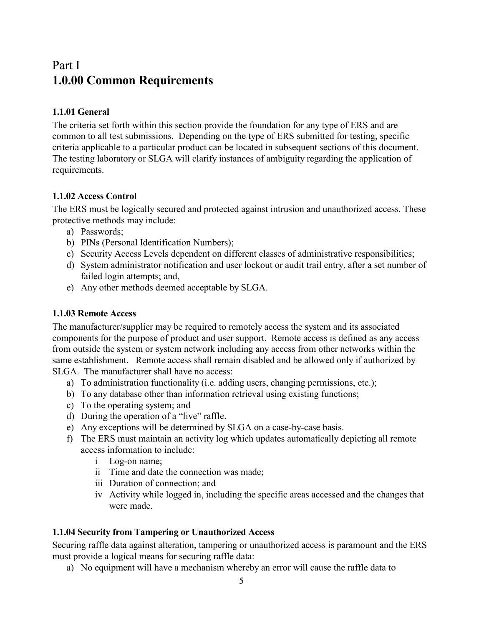### <span id="page-31-0"></span>Part I **1.0.00 Common Requirements**

### <span id="page-31-1"></span>**1.1.01 General**

The criteria set forth within this section provide the foundation for any type of ERS and are common to all test submissions. Depending on the type of ERS submitted for testing, specific criteria applicable to a particular product can be located in subsequent sections of this document. The testing laboratory or SLGA will clarify instances of ambiguity regarding the application of requirements.

### <span id="page-31-2"></span>**1.1.02 Access Control**

The ERS must be logically secured and protected against intrusion and unauthorized access. These protective methods may include:

- a) Passwords;
- b) PINs (Personal Identification Numbers);
- c) Security Access Levels dependent on different classes of administrative responsibilities;
- d) System administrator notification and user lockout or audit trail entry, after a set number of failed login attempts; and,
- e) Any other methods deemed acceptable by SLGA.

### <span id="page-31-3"></span>**1.1.03 Remote Access**

The manufacturer/supplier may be required to remotely access the system and its associated components for the purpose of product and user support. Remote access is defined as any access from outside the system or system network including any access from other networks within the same establishment. Remote access shall remain disabled and be allowed only if authorized by SLGA. The manufacturer shall have no access:

- a) To administration functionality (i.e. adding users, changing permissions, etc.);
- b) To any database other than information retrieval using existing functions;
- c) To the operating system; and
- d) During the operation of a "live" raffle.
- e) Any exceptions will be determined by SLGA on a case-by-case basis.
- f) The ERS must maintain an activity log which updates automatically depicting all remote access information to include:
	- i Log-on name;
	- ii Time and date the connection was made;
	- iii Duration of connection; and
	- iv Activity while logged in, including the specific areas accessed and the changes that were made.

### <span id="page-31-4"></span>**1.1.04 Security from Tampering or Unauthorized Access**

Securing raffle data against alteration, tampering or unauthorized access is paramount and the ERS must provide a logical means for securing raffle data:

a) No equipment will have a mechanism whereby an error will cause the raffle data to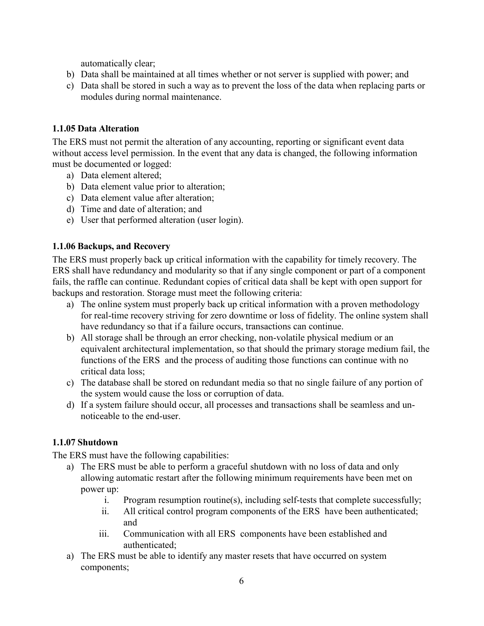automatically clear;

- b) Data shall be maintained at all times whether or not server is supplied with power; and
- c) Data shall be stored in such a way as to prevent the loss of the data when replacing parts or modules during normal maintenance.

### <span id="page-32-0"></span>**1.1.05 Data Alteration**

The ERS must not permit the alteration of any accounting, reporting or significant event data without access level permission. In the event that any data is changed, the following information must be documented or logged:

- a) Data element altered;
- b) Data element value prior to alteration;
- c) Data element value after alteration;
- d) Time and date of alteration; and
- e) User that performed alteration (user login).

### <span id="page-32-1"></span>**1.1.06 Backups, and Recovery**

The ERS must properly back up critical information with the capability for timely recovery. The ERS shall have redundancy and modularity so that if any single component or part of a component fails, the raffle can continue. Redundant copies of critical data shall be kept with open support for backups and restoration. Storage must meet the following criteria:

- a) The online system must properly back up critical information with a proven methodology for real-time recovery striving for zero downtime or loss of fidelity. The online system shall have redundancy so that if a failure occurs, transactions can continue.
- b) All storage shall be through an error checking, non-volatile physical medium or an equivalent architectural implementation, so that should the primary storage medium fail, the functions of the ERS and the process of auditing those functions can continue with no critical data loss;
- c) The database shall be stored on redundant media so that no single failure of any portion of the system would cause the loss or corruption of data.
- d) If a system failure should occur, all processes and transactions shall be seamless and unnoticeable to the end-user.

### <span id="page-32-2"></span>**1.1.07 Shutdown**

The ERS must have the following capabilities:

- a) The ERS must be able to perform a graceful shutdown with no loss of data and only allowing automatic restart after the following minimum requirements have been met on power up:
	- i. Program resumption routine(s), including self-tests that complete successfully;
	- ii. All critical control program components of the ERS have been authenticated; and
	- iii. Communication with all ERS components have been established and authenticated;
- a) The ERS must be able to identify any master resets that have occurred on system components;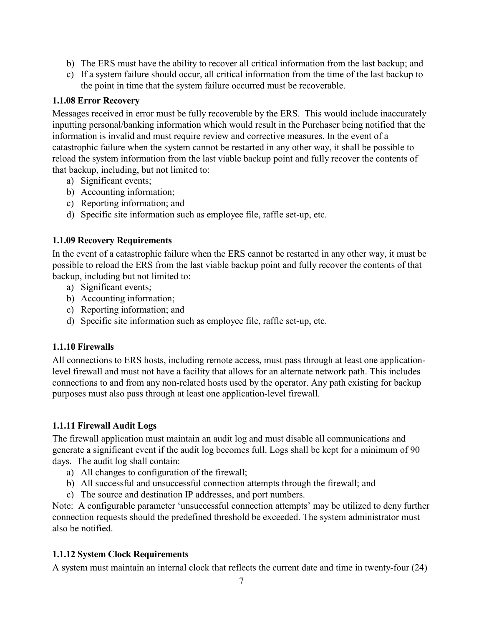- b) The ERS must have the ability to recover all critical information from the last backup; and
- c) If a system failure should occur, all critical information from the time of the last backup to the point in time that the system failure occurred must be recoverable.

### <span id="page-33-0"></span>**1.1.08 Error Recovery**

Messages received in error must be fully recoverable by the ERS. This would include inaccurately inputting personal/banking information which would result in the Purchaser being notified that the information is invalid and must require review and corrective measures. In the event of a catastrophic failure when the system cannot be restarted in any other way, it shall be possible to reload the system information from the last viable backup point and fully recover the contents of that backup, including, but not limited to:

- a) Significant events;
- b) Accounting information;
- c) Reporting information; and
- d) Specific site information such as employee file, raffle set-up, etc.

### <span id="page-33-1"></span>**1.1.09 Recovery Requirements**

In the event of a catastrophic failure when the ERS cannot be restarted in any other way, it must be possible to reload the ERS from the last viable backup point and fully recover the contents of that backup, including but not limited to:

- a) Significant events;
- b) Accounting information;
- c) Reporting information; and
- d) Specific site information such as employee file, raffle set-up, etc.

### <span id="page-33-2"></span>**1.1.10 Firewalls**

All connections to ERS hosts, including remote access, must pass through at least one applicationlevel firewall and must not have a facility that allows for an alternate network path. This includes connections to and from any non-related hosts used by the operator. Any path existing for backup purposes must also pass through at least one application-level firewall.

### <span id="page-33-3"></span>**1.1.11 Firewall Audit Logs**

The firewall application must maintain an audit log and must disable all communications and generate a significant event if the audit log becomes full. Logs shall be kept for a minimum of 90 days. The audit log shall contain:

- a) All changes to configuration of the firewall;
- b) All successful and unsuccessful connection attempts through the firewall; and
- c) The source and destination IP addresses, and port numbers.

Note: A configurable parameter 'unsuccessful connection attempts' may be utilized to deny further connection requests should the predefined threshold be exceeded. The system administrator must also be notified.

### <span id="page-33-4"></span>**1.1.12 System Clock Requirements**

A system must maintain an internal clock that reflects the current date and time in twenty-four (24)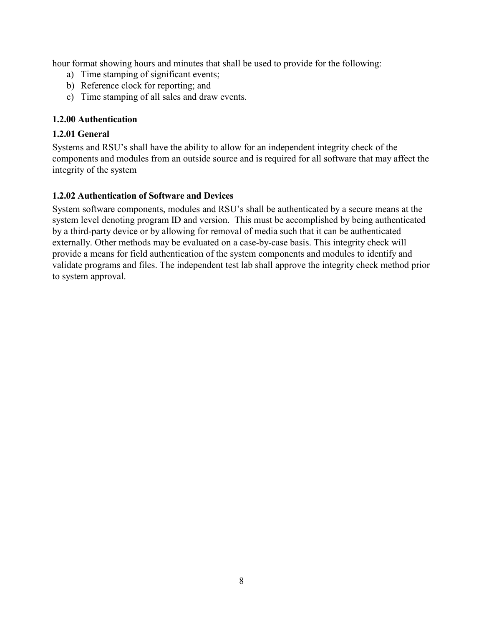hour format showing hours and minutes that shall be used to provide for the following:

- a) Time stamping of significant events;
- b) Reference clock for reporting; and
- c) Time stamping of all sales and draw events.

### <span id="page-34-0"></span>**1.2.00 Authentication**

### <span id="page-34-1"></span>**1.2.01 General**

Systems and RSU's shall have the ability to allow for an independent integrity check of the components and modules from an outside source and is required for all software that may affect the integrity of the system

### <span id="page-34-2"></span>**1.2.02 Authentication of Software and Devices**

System software components, modules and RSU's shall be authenticated by a secure means at the system level denoting program ID and version. This must be accomplished by being authenticated by a third-party device or by allowing for removal of media such that it can be authenticated externally. Other methods may be evaluated on a case-by-case basis. This integrity check will provide a means for field authentication of the system components and modules to identify and validate programs and files. The independent test lab shall approve the integrity check method prior to system approval.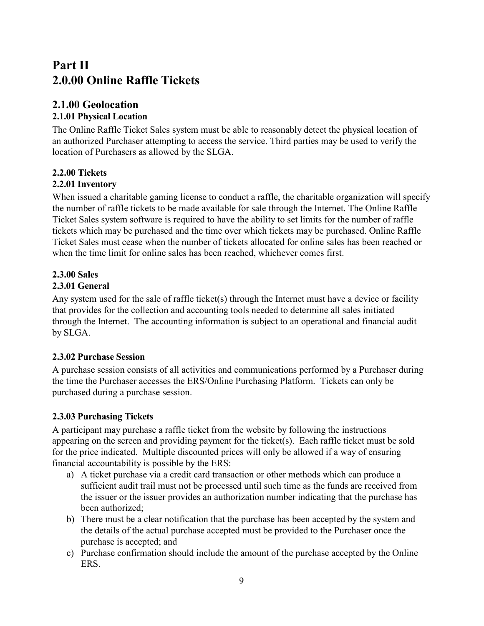### <span id="page-35-0"></span>**Part II 2.0.00 Online Raffle Tickets**

### <span id="page-35-1"></span>**2.1.00 Geolocation**

### <span id="page-35-2"></span>**2.1.01 Physical Location**

The Online Raffle Ticket Sales system must be able to reasonably detect the physical location of an authorized Purchaser attempting to access the service. Third parties may be used to verify the location of Purchasers as allowed by the SLGA.

### <span id="page-35-3"></span>**2.2.00 Tickets**

### <span id="page-35-4"></span>**2.2.01 Inventory**

When issued a charitable gaming license to conduct a raffle, the charitable organization will specify the number of raffle tickets to be made available for sale through the Internet. The Online Raffle Ticket Sales system software is required to have the ability to set limits for the number of raffle tickets which may be purchased and the time over which tickets may be purchased. Online Raffle Ticket Sales must cease when the number of tickets allocated for online sales has been reached or when the time limit for online sales has been reached, whichever comes first.

# <span id="page-35-5"></span>**2.3.00 Sales**

### <span id="page-35-6"></span>**2.3.01 General**

Any system used for the sale of raffle ticket(s) through the Internet must have a device or facility that provides for the collection and accounting tools needed to determine all sales initiated through the Internet. The accounting information is subject to an operational and financial audit by SLGA.

### <span id="page-35-7"></span>**2.3.02 Purchase Session**

A purchase session consists of all activities and communications performed by a Purchaser during the time the Purchaser accesses the ERS/Online Purchasing Platform. Tickets can only be purchased during a purchase session.

### <span id="page-35-8"></span>**2.3.03 Purchasing Tickets**

A participant may purchase a raffle ticket from the website by following the instructions appearing on the screen and providing payment for the ticket(s). Each raffle ticket must be sold for the price indicated. Multiple discounted prices will only be allowed if a way of ensuring financial accountability is possible by the ERS:

- a) A ticket purchase via a credit card transaction or other methods which can produce a sufficient audit trail must not be processed until such time as the funds are received from the issuer or the issuer provides an authorization number indicating that the purchase has been authorized;
- b) There must be a clear notification that the purchase has been accepted by the system and the details of the actual purchase accepted must be provided to the Purchaser once the purchase is accepted; and
- c) Purchase confirmation should include the amount of the purchase accepted by the Online ERS.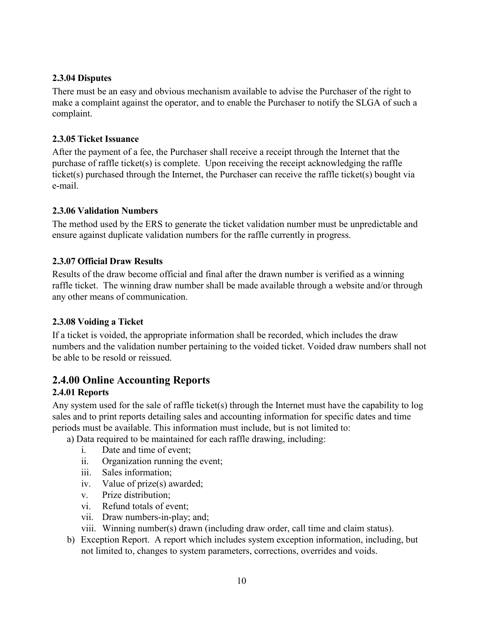### <span id="page-36-0"></span>**2.3.04 Disputes**

There must be an easy and obvious mechanism available to advise the Purchaser of the right to make a complaint against the operator, and to enable the Purchaser to notify the SLGA of such a complaint.

### <span id="page-36-1"></span>**2.3.05 Ticket Issuance**

After the payment of a fee, the Purchaser shall receive a receipt through the Internet that the purchase of raffle ticket(s) is complete. Upon receiving the receipt acknowledging the raffle ticket(s) purchased through the Internet, the Purchaser can receive the raffle ticket(s) bought via e-mail.

### <span id="page-36-2"></span>**2.3.06 Validation Numbers**

The method used by the ERS to generate the ticket validation number must be unpredictable and ensure against duplicate validation numbers for the raffle currently in progress.

### <span id="page-36-3"></span>**2.3.07 Official Draw Results**

Results of the draw become official and final after the drawn number is verified as a winning raffle ticket. The winning draw number shall be made available through a website and/or through any other means of communication.

### <span id="page-36-4"></span>**2.3.08 Voiding a Ticket**

If a ticket is voided, the appropriate information shall be recorded, which includes the draw numbers and the validation number pertaining to the voided ticket. Voided draw numbers shall not be able to be resold or reissued.

### <span id="page-36-5"></span>**2.4.00 Online Accounting Reports**

### <span id="page-36-6"></span>**2.4.01 Reports**

Any system used for the sale of raffle ticket(s) through the Internet must have the capability to log sales and to print reports detailing sales and accounting information for specific dates and time periods must be available. This information must include, but is not limited to:

a) Data required to be maintained for each raffle drawing, including:

- i. Date and time of event;
- ii. Organization running the event;
- iii. Sales information;
- iv. Value of prize(s) awarded;
- v. Prize distribution;
- vi. Refund totals of event;
- vii. Draw numbers-in-play; and;
- viii. Winning number(s) drawn (including draw order, call time and claim status).
- b) Exception Report. A report which includes system exception information, including, but not limited to, changes to system parameters, corrections, overrides and voids.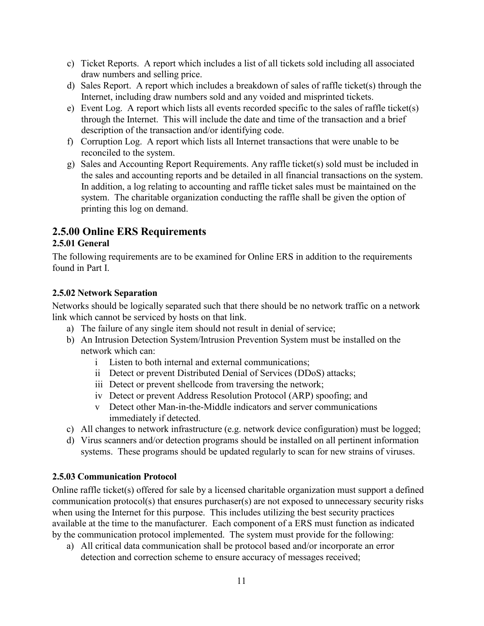- c) Ticket Reports. A report which includes a list of all tickets sold including all associated draw numbers and selling price.
- d) Sales Report. A report which includes a breakdown of sales of raffle ticket(s) through the Internet, including draw numbers sold and any voided and misprinted tickets.
- e) Event Log. A report which lists all events recorded specific to the sales of raffle ticket(s) through the Internet. This will include the date and time of the transaction and a brief description of the transaction and/or identifying code.
- f) Corruption Log. A report which lists all Internet transactions that were unable to be reconciled to the system.
- g) Sales and Accounting Report Requirements. Any raffle ticket(s) sold must be included in the sales and accounting reports and be detailed in all financial transactions on the system. In addition, a log relating to accounting and raffle ticket sales must be maintained on the system. The charitable organization conducting the raffle shall be given the option of printing this log on demand.

### <span id="page-37-0"></span>**2.5.00 Online ERS Requirements**

### <span id="page-37-1"></span>**2.5.01 General**

The following requirements are to be examined for Online ERS in addition to the requirements found in Part I.

### <span id="page-37-2"></span>**2.5.02 Network Separation**

Networks should be logically separated such that there should be no network traffic on a network link which cannot be serviced by hosts on that link.

- a) The failure of any single item should not result in denial of service;
- b) An Intrusion Detection System/Intrusion Prevention System must be installed on the network which can:
	- i Listen to both internal and external communications;
	- ii Detect or prevent Distributed Denial of Services (DDoS) attacks;
	- iii Detect or prevent shellcode from traversing the network;
	- iv Detect or prevent Address Resolution Protocol (ARP) spoofing; and
	- v Detect other Man-in-the-Middle indicators and server communications immediately if detected.
- c) All changes to network infrastructure (e.g. network device configuration) must be logged;
- d) Virus scanners and/or detection programs should be installed on all pertinent information systems. These programs should be updated regularly to scan for new strains of viruses.

### <span id="page-37-3"></span>**2.5.03 Communication Protocol**

Online raffle ticket(s) offered for sale by a licensed charitable organization must support a defined communication protocol(s) that ensures purchaser(s) are not exposed to unnecessary security risks when using the Internet for this purpose. This includes utilizing the best security practices available at the time to the manufacturer. Each component of a ERS must function as indicated by the communication protocol implemented. The system must provide for the following:

a) All critical data communication shall be protocol based and/or incorporate an error detection and correction scheme to ensure accuracy of messages received;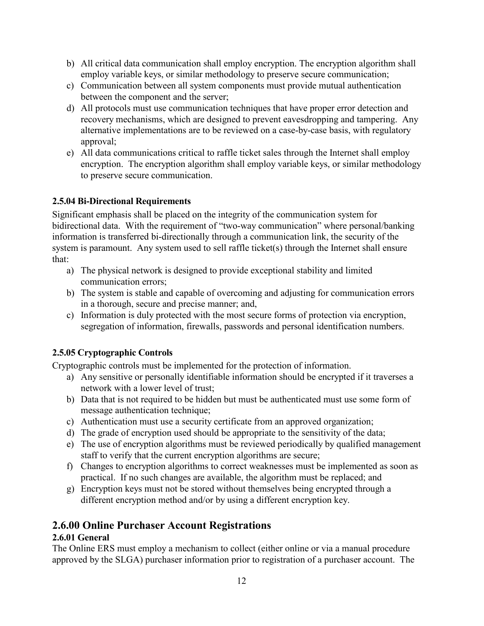- b) All critical data communication shall employ encryption. The encryption algorithm shall employ variable keys, or similar methodology to preserve secure communication;
- c) Communication between all system components must provide mutual authentication between the component and the server;
- d) All protocols must use communication techniques that have proper error detection and recovery mechanisms, which are designed to prevent eavesdropping and tampering. Any alternative implementations are to be reviewed on a case-by-case basis, with regulatory approval;
- e) All data communications critical to raffle ticket sales through the Internet shall employ encryption. The encryption algorithm shall employ variable keys, or similar methodology to preserve secure communication.

### <span id="page-38-0"></span>**2.5.04 Bi-Directional Requirements**

Significant emphasis shall be placed on the integrity of the communication system for bidirectional data. With the requirement of "two-way communication" where personal/banking information is transferred bi-directionally through a communication link, the security of the system is paramount. Any system used to sell raffle ticket(s) through the Internet shall ensure that:

- a) The physical network is designed to provide exceptional stability and limited communication errors;
- b) The system is stable and capable of overcoming and adjusting for communication errors in a thorough, secure and precise manner; and,
- c) Information is duly protected with the most secure forms of protection via encryption, segregation of information, firewalls, passwords and personal identification numbers.

### <span id="page-38-1"></span>**2.5.05 Cryptographic Controls**

Cryptographic controls must be implemented for the protection of information.

- a) Any sensitive or personally identifiable information should be encrypted if it traverses a network with a lower level of trust;
- b) Data that is not required to be hidden but must be authenticated must use some form of message authentication technique;
- c) Authentication must use a security certificate from an approved organization;
- d) The grade of encryption used should be appropriate to the sensitivity of the data;
- e) The use of encryption algorithms must be reviewed periodically by qualified management staff to verify that the current encryption algorithms are secure;
- f) Changes to encryption algorithms to correct weaknesses must be implemented as soon as practical. If no such changes are available, the algorithm must be replaced; and
- g) Encryption keys must not be stored without themselves being encrypted through a different encryption method and/or by using a different encryption key.

### <span id="page-38-2"></span>**2.6.00 Online Purchaser Account Registrations**

### <span id="page-38-3"></span>**2.6.01 General**

The Online ERS must employ a mechanism to collect (either online or via a manual procedure approved by the SLGA) purchaser information prior to registration of a purchaser account. The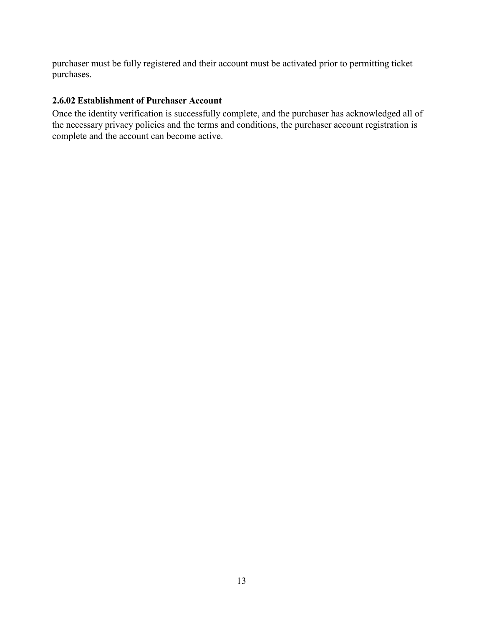purchaser must be fully registered and their account must be activated prior to permitting ticket purchases.

### <span id="page-39-0"></span>**2.6.02 Establishment of Purchaser Account**

Once the identity verification is successfully complete, and the purchaser has acknowledged all of the necessary privacy policies and the terms and conditions, the purchaser account registration is complete and the account can become active.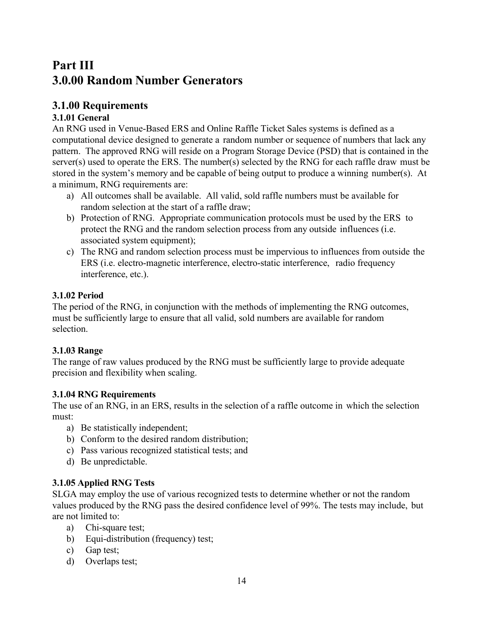### <span id="page-40-0"></span>**Part III 3.0.00 Random Number Generators**

### <span id="page-40-1"></span>**3.1.00 Requirements**

### <span id="page-40-2"></span>**3.1.01 General**

An RNG used in Venue-Based ERS and Online Raffle Ticket Sales systems is defined as a computational device designed to generate a random number or sequence of numbers that lack any pattern. The approved RNG will reside on a Program Storage Device (PSD) that is contained in the server(s) used to operate the ERS. The number(s) selected by the RNG for each raffle draw must be stored in the system's memory and be capable of being output to produce a winning number(s). At a minimum, RNG requirements are:

- a) All outcomes shall be available. All valid, sold raffle numbers must be available for random selection at the start of a raffle draw;
- b) Protection of RNG. Appropriate communication protocols must be used by the ERS to protect the RNG and the random selection process from any outside influences (i.e. associated system equipment);
- c) The RNG and random selection process must be impervious to influences from outside the ERS (i.e. electro-magnetic interference, electro-static interference, radio frequency interference, etc.).

### <span id="page-40-3"></span>**3.1.02 Period**

The period of the RNG, in conjunction with the methods of implementing the RNG outcomes, must be sufficiently large to ensure that all valid, sold numbers are available for random selection.

### <span id="page-40-4"></span>**3.1.03 Range**

The range of raw values produced by the RNG must be sufficiently large to provide adequate precision and flexibility when scaling.

### <span id="page-40-5"></span>**3.1.04 RNG Requirements**

The use of an RNG, in an ERS, results in the selection of a raffle outcome in which the selection must:

- a) Be statistically independent;
- b) Conform to the desired random distribution;
- c) Pass various recognized statistical tests; and
- d) Be unpredictable.

### <span id="page-40-6"></span>**3.1.05 Applied RNG Tests**

SLGA may employ the use of various recognized tests to determine whether or not the random values produced by the RNG pass the desired confidence level of 99%. The tests may include, but are not limited to:

- a) Chi-square test:
- b) Equi-distribution (frequency) test;
- c) Gap test;
- d) Overlaps test;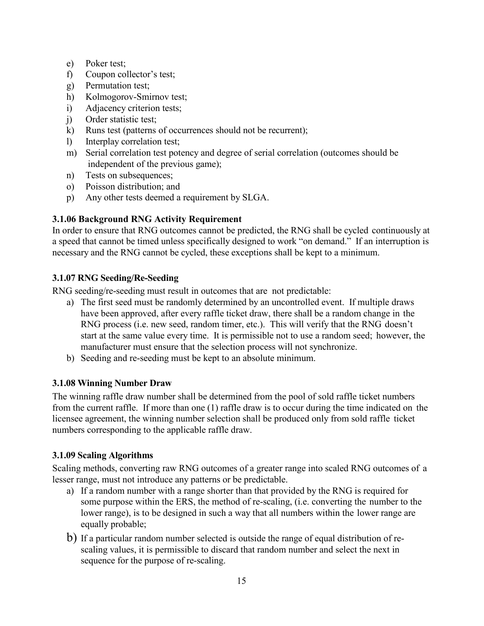- e) Poker test;
- f) Coupon collector's test;
- g) Permutation test;
- h) Kolmogorov-Smirnov test;
- i) Adjacency criterion tests;
- j) Order statistic test;
- k) Runs test (patterns of occurrences should not be recurrent);
- l) Interplay correlation test;
- m) Serial correlation test potency and degree of serial correlation (outcomes should be independent of the previous game);
- n) Tests on subsequences:
- o) Poisson distribution; and
- p) Any other tests deemed a requirement by SLGA.

### **3.1.06 Background RNG Activity Requirement**

In order to ensure that RNG outcomes cannot be predicted, the RNG shall be cycled continuously at a speed that cannot be timed unless specifically designed to work "on demand." If an interruption is necessary and the RNG cannot be cycled, these exceptions shall be kept to a minimum.

### <span id="page-41-0"></span>**3.1.07 RNG Seeding/Re-Seeding**

RNG seeding/re-seeding must result in outcomes that are not predictable:

- a) The first seed must be randomly determined by an uncontrolled event. If multiple draws have been approved, after every raffle ticket draw, there shall be a random change in the RNG process (i.e. new seed, random timer, etc.). This will verify that the RNG doesn't start at the same value every time. It is permissible not to use a random seed; however, the manufacturer must ensure that the selection process will not synchronize.
- b) Seeding and re-seeding must be kept to an absolute minimum.

### <span id="page-41-1"></span>**3.1.08 Winning Number Draw**

The winning raffle draw number shall be determined from the pool of sold raffle ticket numbers from the current raffle. If more than one (1) raffle draw is to occur during the time indicated on the licensee agreement, the winning number selection shall be produced only from sold raffle ticket numbers corresponding to the applicable raffle draw.

### <span id="page-41-2"></span>**3.1.09 Scaling Algorithms**

Scaling methods, converting raw RNG outcomes of a greater range into scaled RNG outcomes of a lesser range, must not introduce any patterns or be predictable.

- a) If a random number with a range shorter than that provided by the RNG is required for some purpose within the ERS, the method of re-scaling, (i.e. converting the number to the lower range), is to be designed in such a way that all numbers within the lower range are equally probable;
- b) If a particular random number selected is outside the range of equal distribution of rescaling values, it is permissible to discard that random number and select the next in sequence for the purpose of re-scaling.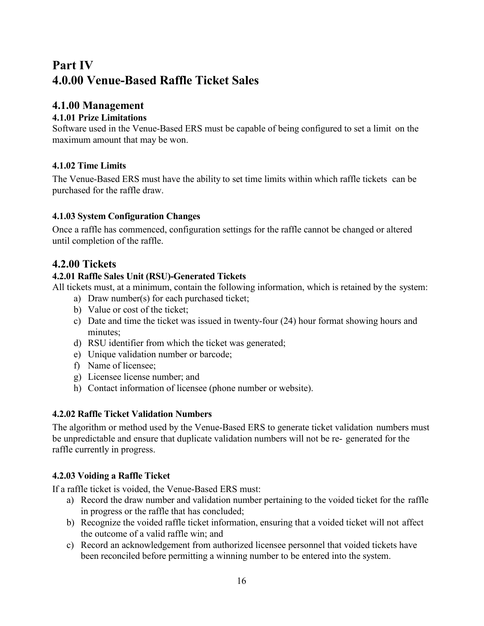### <span id="page-42-0"></span>**Part IV 4.0.00 Venue-Based Raffle Ticket Sales**

### <span id="page-42-1"></span>**4.1.00 Management**

### <span id="page-42-2"></span>**4.1.01 Prize Limitations**

Software used in the Venue-Based ERS must be capable of being configured to set a limit on the maximum amount that may be won.

### <span id="page-42-3"></span>**4.1.02 Time Limits**

The Venue-Based ERS must have the ability to set time limits within which raffle tickets can be purchased for the raffle draw.

### <span id="page-42-4"></span>**4.1.03 System Configuration Changes**

Once a raffle has commenced, configuration settings for the raffle cannot be changed or altered until completion of the raffle.

### <span id="page-42-5"></span>**4.2.00 Tickets**

### <span id="page-42-6"></span>**4.2.01 Raffle Sales Unit (RSU)-Generated Tickets**

All tickets must, at a minimum, contain the following information, which is retained by the system:

- a) Draw number(s) for each purchased ticket;
- b) Value or cost of the ticket;
- c) Date and time the ticket was issued in twenty-four (24) hour format showing hours and minutes:
- d) RSU identifier from which the ticket was generated;
- e) Unique validation number or barcode;
- f) Name of licensee;
- g) Licensee license number; and
- h) Contact information of licensee (phone number or website).

### <span id="page-42-7"></span>**4.2.02 Raffle Ticket Validation Numbers**

The algorithm or method used by the Venue-Based ERS to generate ticket validation numbers must be unpredictable and ensure that duplicate validation numbers will not be re- generated for the raffle currently in progress.

### <span id="page-42-8"></span>**4.2.03 Voiding a Raffle Ticket**

If a raffle ticket is voided, the Venue-Based ERS must:

- a) Record the draw number and validation number pertaining to the voided ticket for the raffle in progress or the raffle that has concluded;
- b) Recognize the voided raffle ticket information, ensuring that a voided ticket will not affect the outcome of a valid raffle win; and
- c) Record an acknowledgement from authorized licensee personnel that voided tickets have been reconciled before permitting a winning number to be entered into the system.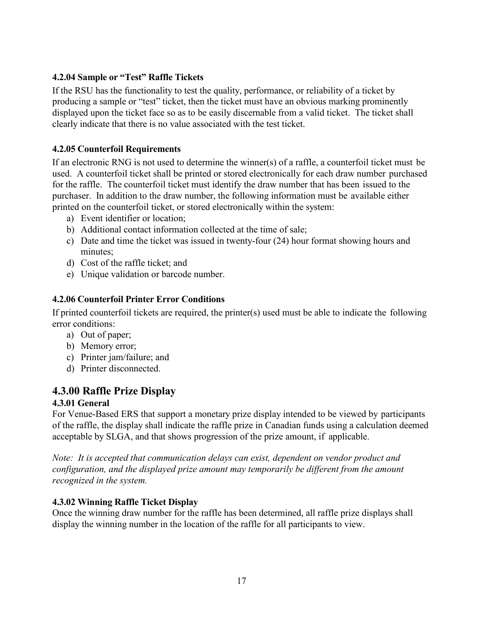### <span id="page-43-0"></span>**4.2.04 Sample or "Test" Raffle Tickets**

If the RSU has the functionality to test the quality, performance, or reliability of a ticket by producing a sample or "test" ticket, then the ticket must have an obvious marking prominently displayed upon the ticket face so as to be easily discernable from a valid ticket. The ticket shall clearly indicate that there is no value associated with the test ticket.

### <span id="page-43-1"></span>**4.2.05 Counterfoil Requirements**

If an electronic RNG is not used to determine the winner(s) of a raffle, a counterfoil ticket must be used. A counterfoil ticket shall be printed or stored electronically for each draw number purchased for the raffle. The counterfoil ticket must identify the draw number that has been issued to the purchaser. In addition to the draw number, the following information must be available either printed on the counterfoil ticket, or stored electronically within the system:

- a) Event identifier or location;
- b) Additional contact information collected at the time of sale;
- c) Date and time the ticket was issued in twenty-four (24) hour format showing hours and minutes;
- d) Cost of the raffle ticket; and
- e) Unique validation or barcode number.

### <span id="page-43-2"></span>**4.2.06 Counterfoil Printer Error Conditions**

If printed counterfoil tickets are required, the printer(s) used must be able to indicate the following error conditions:

- a) Out of paper;
- b) Memory error;
- c) Printer jam/failure; and
- d) Printer disconnected.

### <span id="page-43-3"></span>**4.3.00 Raffle Prize Display**

### <span id="page-43-4"></span>**4.3.01 General**

For Venue-Based ERS that support a monetary prize display intended to be viewed by participants of the raffle, the display shall indicate the raffle prize in Canadian funds using a calculation deemed acceptable by SLGA, and that shows progression of the prize amount, if applicable.

*Note: It is accepted that communication delays can exist, dependent on vendor product and configuration, and the displayed prize amount may temporarily be different from the amount recognized in the system.*

### <span id="page-43-5"></span>**4.3.02 Winning Raffle Ticket Display**

Once the winning draw number for the raffle has been determined, all raffle prize displays shall display the winning number in the location of the raffle for all participants to view.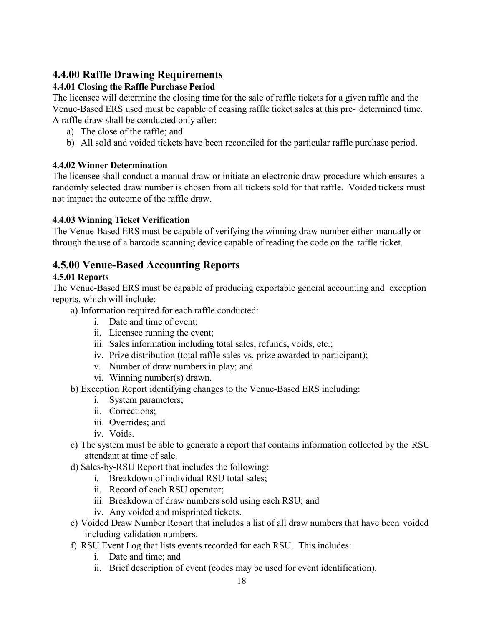### <span id="page-44-0"></span>**4.4.00 Raffle Drawing Requirements**

### <span id="page-44-1"></span>**4.4.01 Closing the Raffle Purchase Period**

The licensee will determine the closing time for the sale of raffle tickets for a given raffle and the Venue-Based ERS used must be capable of ceasing raffle ticket sales at this pre- determined time. A raffle draw shall be conducted only after:

- a) The close of the raffle; and
- b) All sold and voided tickets have been reconciled for the particular raffle purchase period.

### <span id="page-44-2"></span>**4.4.02 Winner Determination**

The licensee shall conduct a manual draw or initiate an electronic draw procedure which ensures a randomly selected draw number is chosen from all tickets sold for that raffle. Voided tickets must not impact the outcome of the raffle draw.

### <span id="page-44-3"></span>**4.4.03 Winning Ticket Verification**

The Venue-Based ERS must be capable of verifying the winning draw number either manually or through the use of a barcode scanning device capable of reading the code on the raffle ticket.

### <span id="page-44-4"></span>**4.5.00 Venue-Based Accounting Reports**

### <span id="page-44-5"></span>**4.5.01 Reports**

The Venue-Based ERS must be capable of producing exportable general accounting and exception reports, which will include:

a) Information required for each raffle conducted:

- i. Date and time of event;
- ii. Licensee running the event;
- iii. Sales information including total sales, refunds, voids, etc.;
- iv. Prize distribution (total raffle sales vs. prize awarded to participant);
- v. Number of draw numbers in play; and
- vi. Winning number(s) drawn.
- b) Exception Report identifying changes to the Venue-Based ERS including:
	- i. System parameters;
	- ii. Corrections;
	- iii. Overrides; and
	- iv. Voids.
- c) The system must be able to generate a report that contains information collected by the RSU attendant at time of sale.
- d) Sales-by-RSU Report that includes the following:
	- i. Breakdown of individual RSU total sales;
	- ii. Record of each RSU operator;
	- iii. Breakdown of draw numbers sold using each RSU; and
	- iv. Any voided and misprinted tickets.
- e) Voided Draw Number Report that includes a list of all draw numbers that have been voided including validation numbers.
- f) RSU Event Log that lists events recorded for each RSU. This includes:
	- i. Date and time; and
	- ii. Brief description of event (codes may be used for event identification).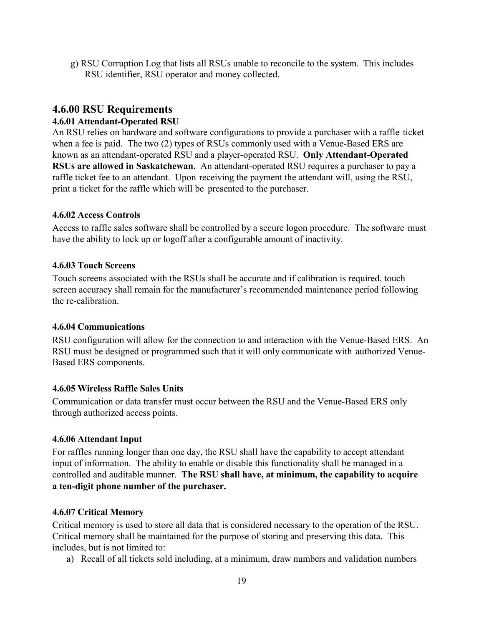g) RSU Corruption Log that lists all RSUs unable to reconcile to the system. This includes RSU identifier, RSU operator and money collected.

### <span id="page-45-0"></span>**4.6.00 RSU Requirements**

### <span id="page-45-1"></span>**4.6.01 Attendant-Operated RSU**

An RSU relies on hardware and software configurations to provide a purchaser with a raffle ticket when a fee is paid. The two (2) types of RSUs commonly used with a Venue-Based ERS are known as an attendant-operated RSU and a player-operated RSU. **Only Attendant-Operated RSUs are allowed in Saskatchewan.** An attendant-operated RSU requires a purchaser to pay a raffle ticket fee to an attendant. Upon receiving the payment the attendant will, using the RSU, print a ticket for the raffle which will be presented to the purchaser.

### <span id="page-45-2"></span>**4.6.02 Access Controls**

Access to raffle sales software shall be controlled by a secure logon procedure. The software must have the ability to lock up or logoff after a configurable amount of inactivity.

### <span id="page-45-3"></span>**4.6.03 Touch Screens**

Touch screens associated with the RSUs shall be accurate and if calibration is required, touch screen accuracy shall remain for the manufacturer's recommended maintenance period following the re-calibration.

### <span id="page-45-4"></span>**4.6.04 Communications**

RSU configuration will allow for the connection to and interaction with the Venue-Based ERS. An RSU must be designed or programmed such that it will only communicate with authorized Venue-Based ERS components.

### <span id="page-45-5"></span>**4.6.05 Wireless Raffle Sales Units**

Communication or data transfer must occur between the RSU and the Venue-Based ERS only through authorized access points.

### <span id="page-45-6"></span>**4.6.06 Attendant Input**

For raffles running longer than one day, the RSU shall have the capability to accept attendant input of information. The ability to enable or disable this functionality shall be managed in a controlled and auditable manner. **The RSU shall have, at minimum, the capability to acquire a ten-digit phone number of the purchaser.**

### <span id="page-45-7"></span>**4.6.07 Critical Memory**

Critical memory is used to store all data that is considered necessary to the operation of the RSU. Critical memory shall be maintained for the purpose of storing and preserving this data. This includes, but is not limited to:

a) Recall of all tickets sold including, at a minimum, draw numbers and validation numbers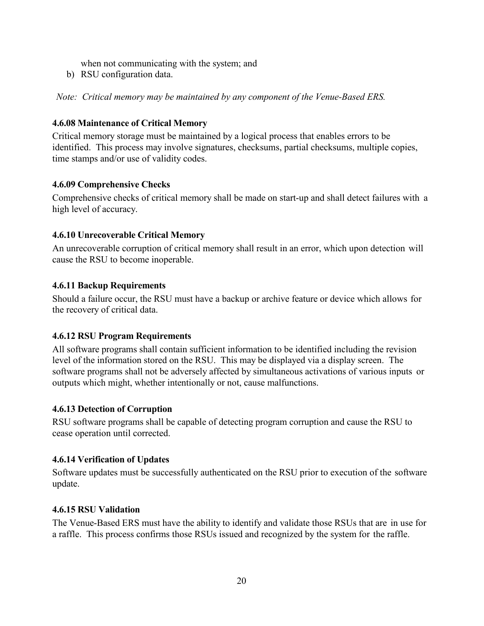when not communicating with the system; and

b) RSU configuration data.

*Note: Critical memory may be maintained by any component of the Venue-Based ERS.*

### <span id="page-46-0"></span>**4.6.08 Maintenance of Critical Memory**

Critical memory storage must be maintained by a logical process that enables errors to be identified. This process may involve signatures, checksums, partial checksums, multiple copies, time stamps and/or use of validity codes.

### <span id="page-46-1"></span>**4.6.09 Comprehensive Checks**

Comprehensive checks of critical memory shall be made on start-up and shall detect failures with a high level of accuracy.

### <span id="page-46-2"></span>**4.6.10 Unrecoverable Critical Memory**

An unrecoverable corruption of critical memory shall result in an error, which upon detection will cause the RSU to become inoperable.

### <span id="page-46-3"></span>**4.6.11 Backup Requirements**

Should a failure occur, the RSU must have a backup or archive feature or device which allows for the recovery of critical data.

### <span id="page-46-4"></span>**4.6.12 RSU Program Requirements**

All software programs shall contain sufficient information to be identified including the revision level of the information stored on the RSU. This may be displayed via a display screen. The software programs shall not be adversely affected by simultaneous activations of various inputs or outputs which might, whether intentionally or not, cause malfunctions.

### <span id="page-46-5"></span>**4.6.13 Detection of Corruption**

RSU software programs shall be capable of detecting program corruption and cause the RSU to cease operation until corrected.

### <span id="page-46-6"></span>**4.6.14 Verification of Updates**

Software updates must be successfully authenticated on the RSU prior to execution of the software update.

### <span id="page-46-7"></span>**4.6.15 RSU Validation**

The Venue-Based ERS must have the ability to identify and validate those RSUs that are in use for a raffle. This process confirms those RSUs issued and recognized by the system for the raffle.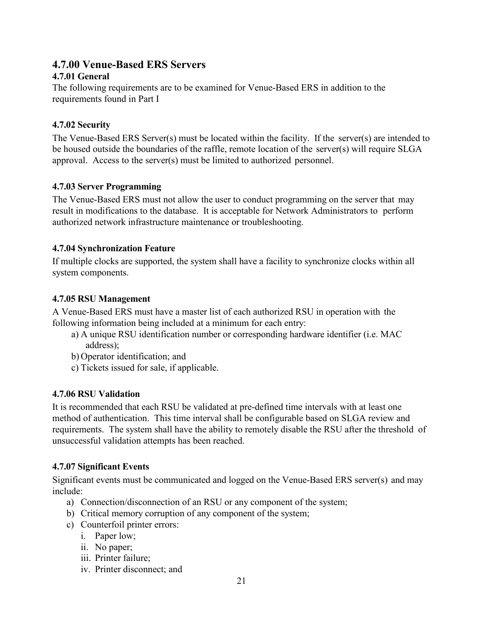### <span id="page-47-0"></span>**4.7.00 Venue-Based ERS Servers**

### <span id="page-47-1"></span>**4.7.01 General**

The following requirements are to be examined for Venue-Based ERS in addition to the requirements found in Part I

### <span id="page-47-2"></span>**4.7.02 Security**

The Venue-Based ERS Server(s) must be located within the facility. If the server(s) are intended to be housed outside the boundaries of the raffle, remote location of the server(s) will require SLGA approval. Access to the server(s) must be limited to authorized personnel.

### <span id="page-47-3"></span>**4.7.03 Server Programming**

The Venue-Based ERS must not allow the user to conduct programming on the server that may result in modifications to the database. It is acceptable for Network Administrators to perform authorized network infrastructure maintenance or troubleshooting.

### <span id="page-47-4"></span>**4.7.04 Synchronization Feature**

If multiple clocks are supported, the system shall have a facility to synchronize clocks within all system components.

### <span id="page-47-5"></span>**4.7.05 RSU Management**

A Venue-Based ERS must have a master list of each authorized RSU in operation with the following information being included at a minimum for each entry:

- a) A unique RSU identification number or corresponding hardware identifier (i.e. MAC address);
- b) Operator identification; and
- c) Tickets issued for sale, if applicable.

### <span id="page-47-6"></span>**4.7.06 RSU Validation**

It is recommended that each RSU be validated at pre-defined time intervals with at least one method of authentication. This time interval shall be configurable based on SLGA review and requirements. The system shall have the ability to remotely disable the RSU after the threshold of unsuccessful validation attempts has been reached.

### <span id="page-47-7"></span>**4.7.07 Significant Events**

Significant events must be communicated and logged on the Venue-Based ERS server(s) and may include:

- a) Connection/disconnection of an RSU or any component of the system;
- b) Critical memory corruption of any component of the system;
- c) Counterfoil printer errors:
	- i. Paper low;
	- ii. No paper;
	- iii. Printer failure;
	- iv. Printer disconnect; and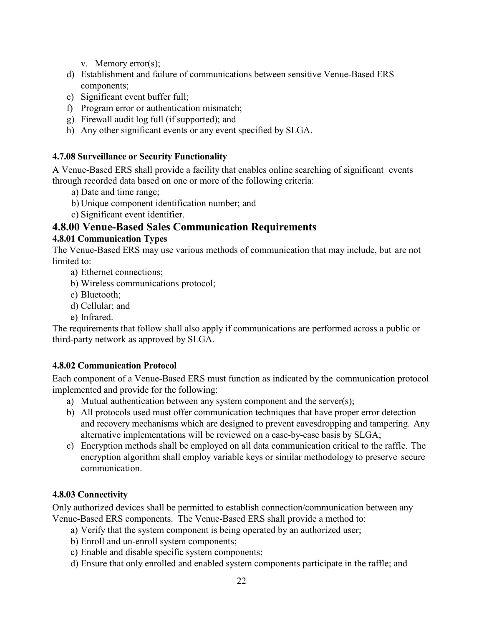v. Memory error(s);

- d) Establishment and failure of communications between sensitive Venue-Based ERS components;
- e) Significant event buffer full;
- f) Program error or authentication mismatch;
- g) Firewall audit log full (if supported); and
- h) Any other significant events or any event specified by SLGA.

### <span id="page-48-0"></span>**4.7.08 Surveillance or Security Functionality**

A Venue-Based ERS shall provide a facility that enables online searching of significant events through recorded data based on one or more of the following criteria:

- a) Date and time range;
- b) Unique component identification number; and
- c) Significant event identifier.

### <span id="page-48-1"></span>**4.8.00 Venue-Based Sales Communication Requirements**

### <span id="page-48-2"></span>**4.8.01 Communication Types**

The Venue-Based ERS may use various methods of communication that may include, but are not limited to:

- a) Ethernet connections;
- b) Wireless communications protocol;
- c) Bluetooth;
- d) Cellular; and
- e) Infrared.

The requirements that follow shall also apply if communications are performed across a public or third-party network as approved by SLGA.

### <span id="page-48-3"></span>**4.8.02 Communication Protocol**

Each component of a Venue-Based ERS must function as indicated by the communication protocol implemented and provide for the following:

- a) Mutual authentication between any system component and the server(s);
- b) All protocols used must offer communication techniques that have proper error detection and recovery mechanisms which are designed to prevent eavesdropping and tampering. Any alternative implementations will be reviewed on a case-by-case basis by SLGA;
- c) Encryption methods shall be employed on all data communication critical to the raffle. The encryption algorithm shall employ variable keys or similar methodology to preserve secure communication.

### <span id="page-48-4"></span>**4.8.03 Connectivity**

Only authorized devices shall be permitted to establish connection/communication between any Venue-Based ERS components. The Venue-Based ERS shall provide a method to:

- a) Verify that the system component is being operated by an authorized user;
- b) Enroll and un-enroll system components;
- c) Enable and disable specific system components;
- d) Ensure that only enrolled and enabled system components participate in the raffle; and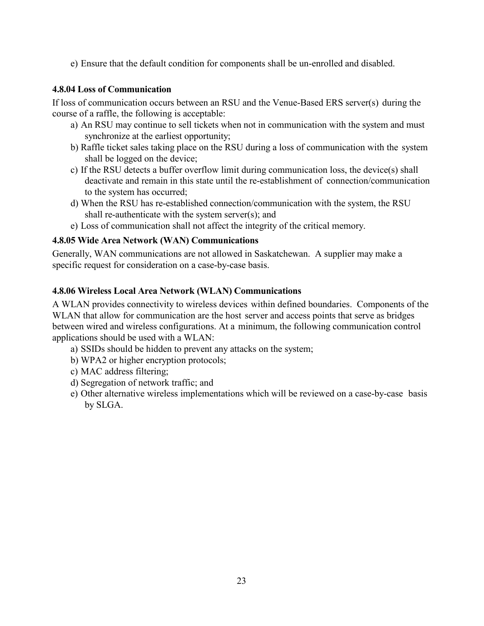e) Ensure that the default condition for components shall be un-enrolled and disabled.

### <span id="page-49-0"></span>**4.8.04 Loss of Communication**

If loss of communication occurs between an RSU and the Venue-Based ERS server(s) during the course of a raffle, the following is acceptable:

- a) An RSU may continue to sell tickets when not in communication with the system and must synchronize at the earliest opportunity;
- b) Raffle ticket sales taking place on the RSU during a loss of communication with the system shall be logged on the device;
- c) If the RSU detects a buffer overflow limit during communication loss, the device(s) shall deactivate and remain in this state until the re-establishment of connection/communication to the system has occurred;
- d) When the RSU has re-established connection/communication with the system, the RSU shall re-authenticate with the system server(s); and
- e) Loss of communication shall not affect the integrity of the critical memory.

### <span id="page-49-1"></span>**4.8.05 Wide Area Network (WAN) Communications**

Generally, WAN communications are not allowed in Saskatchewan. A supplier may make a specific request for consideration on a case-by-case basis.

### <span id="page-49-2"></span>**4.8.06 Wireless Local Area Network (WLAN) Communications**

A WLAN provides connectivity to wireless devices within defined boundaries. Components of the WLAN that allow for communication are the host server and access points that serve as bridges between wired and wireless configurations. At a minimum, the following communication control applications should be used with a WLAN:

- a) SSIDs should be hidden to prevent any attacks on the system;
- b) WPA2 or higher encryption protocols;
- c) MAC address filtering;
- d) Segregation of network traffic; and
- e) Other alternative wireless implementations which will be reviewed on a case-by-case basis by SLGA.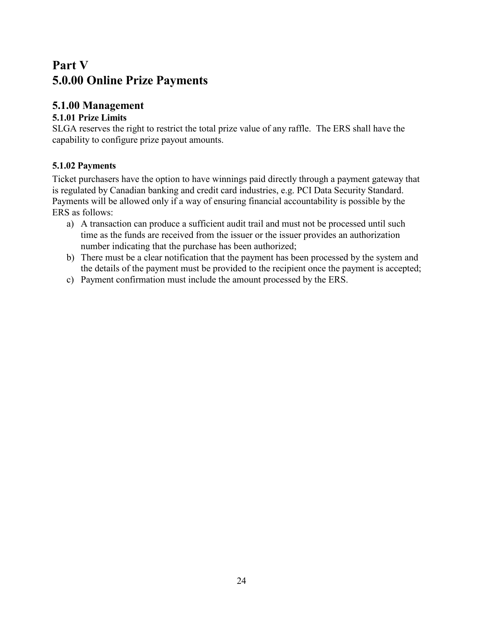### <span id="page-50-0"></span>**Part V 5.0.00 Online Prize Payments**

### <span id="page-50-1"></span>**5.1.00 Management**

### <span id="page-50-2"></span>**5.1.01 Prize Limits**

SLGA reserves the right to restrict the total prize value of any raffle. The ERS shall have the capability to configure prize payout amounts.

### <span id="page-50-3"></span>**5.1.02 Payments**

Ticket purchasers have the option to have winnings paid directly through a payment gateway that is regulated by Canadian banking and credit card industries, e.g. PCI Data Security Standard. Payments will be allowed only if a way of ensuring financial accountability is possible by the ERS as follows:

- a) A transaction can produce a sufficient audit trail and must not be processed until such time as the funds are received from the issuer or the issuer provides an authorization number indicating that the purchase has been authorized;
- b) There must be a clear notification that the payment has been processed by the system and the details of the payment must be provided to the recipient once the payment is accepted;
- c) Payment confirmation must include the amount processed by the ERS.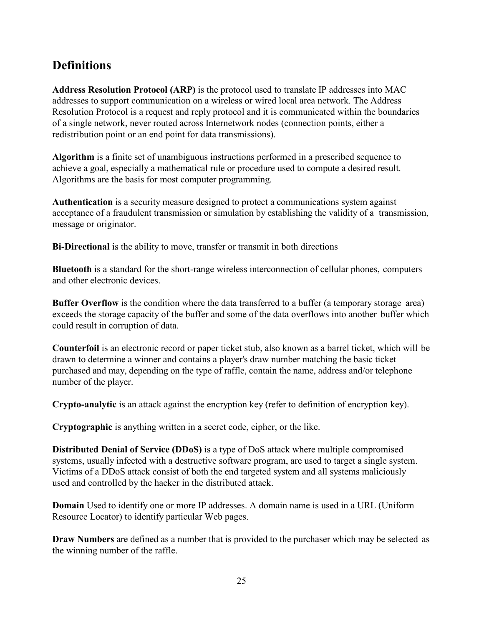### **Definitions**

**Address Resolution Protocol (ARP)** is the protocol used to translate IP addresses into MAC addresses to support communication on a wireless or wired local area network. The Address Resolution Protocol is a request and reply protocol and it is communicated within the boundaries of a single network, never routed across Internetwork nodes (connection points, either a redistribution point or an end point for data transmissions).

**Algorithm** is a finite set of unambiguous instructions performed in a prescribed sequence to achieve a goal, especially a mathematical rule or procedure used to compute a desired result. Algorithms are the basis for most computer programming.

**Authentication** is a security measure designed to protect a communications system against acceptance of a fraudulent transmission or simulation by establishing the validity of a transmission, message or originator.

**Bi-Directional** is the ability to move, transfer or transmit in both directions

**Bluetooth** is a standard for the short-range wireless interconnection of cellular phones, computers and other electronic devices.

**Buffer Overflow** is the condition where the data transferred to a buffer (a temporary storage area) exceeds the storage capacity of the buffer and some of the data overflows into another buffer which could result in corruption of data.

**Counterfoil** is an electronic record or paper ticket stub, also known as a barrel ticket, which will be drawn to determine a winner and contains a player's draw number matching the basic ticket purchased and may, depending on the type of raffle, contain the name, address and/or telephone number of the player.

**Crypto-analytic** is an attack against the encryption key (refer to definition of encryption key).

**Cryptographic** is anything written in a secret code, cipher, or the like.

**Distributed Denial of Service (DDoS)** is a type of DoS attack where multiple compromised systems, usually infected with a destructive software program, are used to target a single system. Victims of a DDoS attack consist of both the end targeted system and all systems maliciously used and controlled by the hacker in the distributed attack.

**Domain** Used to identify one or more IP addresses. A domain name is used in a URL (Uniform Resource Locator) to identify particular Web pages.

**Draw Numbers** are defined as a number that is provided to the purchaser which may be selected as the winning number of the raffle.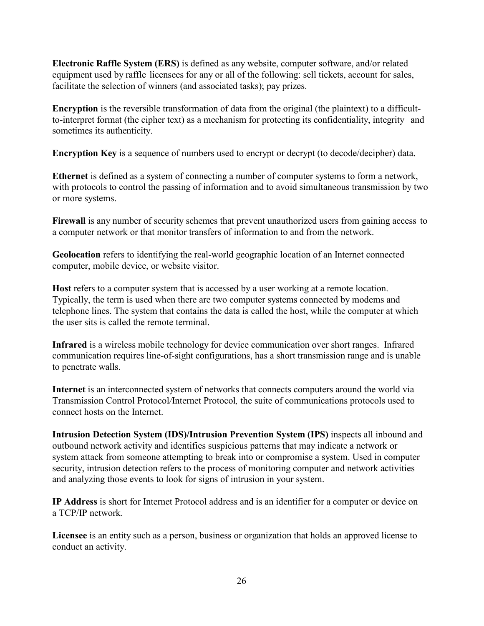**Electronic Raffle System (ERS)** is defined as any website, computer software, and/or related equipment used by raffle licensees for any or all of the following: sell tickets, account for sales, facilitate the selection of winners (and associated tasks); pay prizes.

**Encryption** is the reversible transformation of data from the original (the plaintext) to a difficultto-interpret format (the cipher text) as a mechanism for protecting its confidentiality, integrity and sometimes its authenticity.

**Encryption Key** is a sequence of numbers used to encrypt or decrypt (to decode/decipher) data.

**Ethernet** is defined as a system of connecting a number of computer systems to form a network, with protocols to control the passing of information and to avoid simultaneous transmission by two or more systems.

**Firewall** is any number of security schemes that prevent unauthorized users from gaining access to a computer network or that monitor transfers of information to and from the network.

**Geolocation** refers to identifying the real-world geographic location of an Internet connected computer, mobile device, or website visitor.

**Host** refers to a computer system that is accessed by a user working at a remote location. Typically, the term is used when there are two computer systems connected by modems and telephone lines. The system that contains the data is called the host, while the computer at which the user sits is called the remote terminal.

**Infrared** is a wireless mobile technology for device communication over short ranges. Infrared communication requires line-of-sight configurations, has a short transmission range and is unable to penetrate walls.

**Internet** is an interconnected system of networks that connects computers around the world via Transmission Control Protocol*/*Internet Protocol*,* the suite of communications protocols used to connect hosts on the Internet.

**Intrusion Detection System (IDS)/Intrusion Prevention System (IPS)** inspects all inbound and outbound network activity and identifies suspicious patterns that may indicate a network or system attack from someone attempting to break into or compromise a system. Used in computer security, intrusion detection refers to the process of monitoring computer and network activities and analyzing those events to look for signs of intrusion in your system.

**IP Address** is short for Internet Protocol address and is an identifier for a computer or device on a TCP/IP network.

**Licensee** is an entity such as a person, business or organization that holds an approved license to conduct an activity.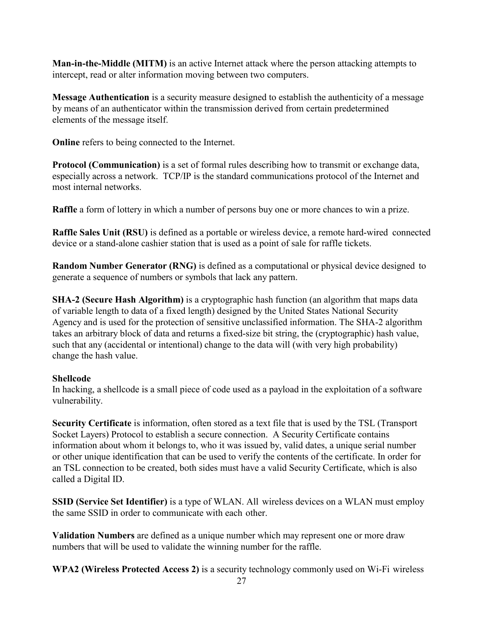**Man-in-the-Middle (MITM)** is an active Internet attack where the person attacking attempts to intercept, read or alter information moving between two computers.

**Message Authentication** is a security measure designed to establish the authenticity of a message by means of an authenticator within the transmission derived from certain predetermined elements of the message itself.

**Online** refers to being connected to the Internet.

**Protocol (Communication)** is a set of formal rules describing how to transmit or exchange data, especially across a network. TCP/IP is the standard communications protocol of the Internet and most internal networks.

**Raffle** a form of lottery in which a number of persons buy one or more chances to win a prize.

**Raffle Sales Unit (RSU)** is defined as a portable or wireless device, a remote hard-wired connected device or a stand-alone cashier station that is used as a point of sale for raffle tickets.

**Random Number Generator (RNG)** is defined as a computational or physical device designed to generate a sequence of numbers or symbols that lack any pattern.

**SHA-2 (Secure Hash Algorithm)** is a cryptographic hash function (an algorithm that maps data of variable length to data of a fixed length) designed by the United States National Security Agency and is used for the protection of sensitive unclassified information. The SHA-2 algorithm takes an arbitrary block of data and returns a fixed-size bit string, the (cryptographic) hash value, such that any (accidental or intentional) change to the data will (with very high probability) change the hash value.

### **Shellcode**

In hacking, a shellcode is a small piece of code used as a payload in the exploitation of a software vulnerability.

**Security Certificate** is information, often stored as a text file that is used by the TSL (Transport Socket Layers) Protocol to establish a secure connection. A Security Certificate contains information about whom it belongs to, who it was issued by, valid dates, a unique serial number or other unique identification that can be used to verify the contents of the certificate. In order for an TSL connection to be created, both sides must have a valid Security Certificate, which is also called a Digital ID.

**SSID (Service Set Identifier)** is a type of WLAN. All wireless devices on a WLAN must employ the same SSID in order to communicate with each other.

**Validation Numbers** are defined as a unique number which may represent one or more draw numbers that will be used to validate the winning number for the raffle.

**WPA2 (Wireless Protected Access 2)** is a security technology commonly used on Wi-Fi wireless